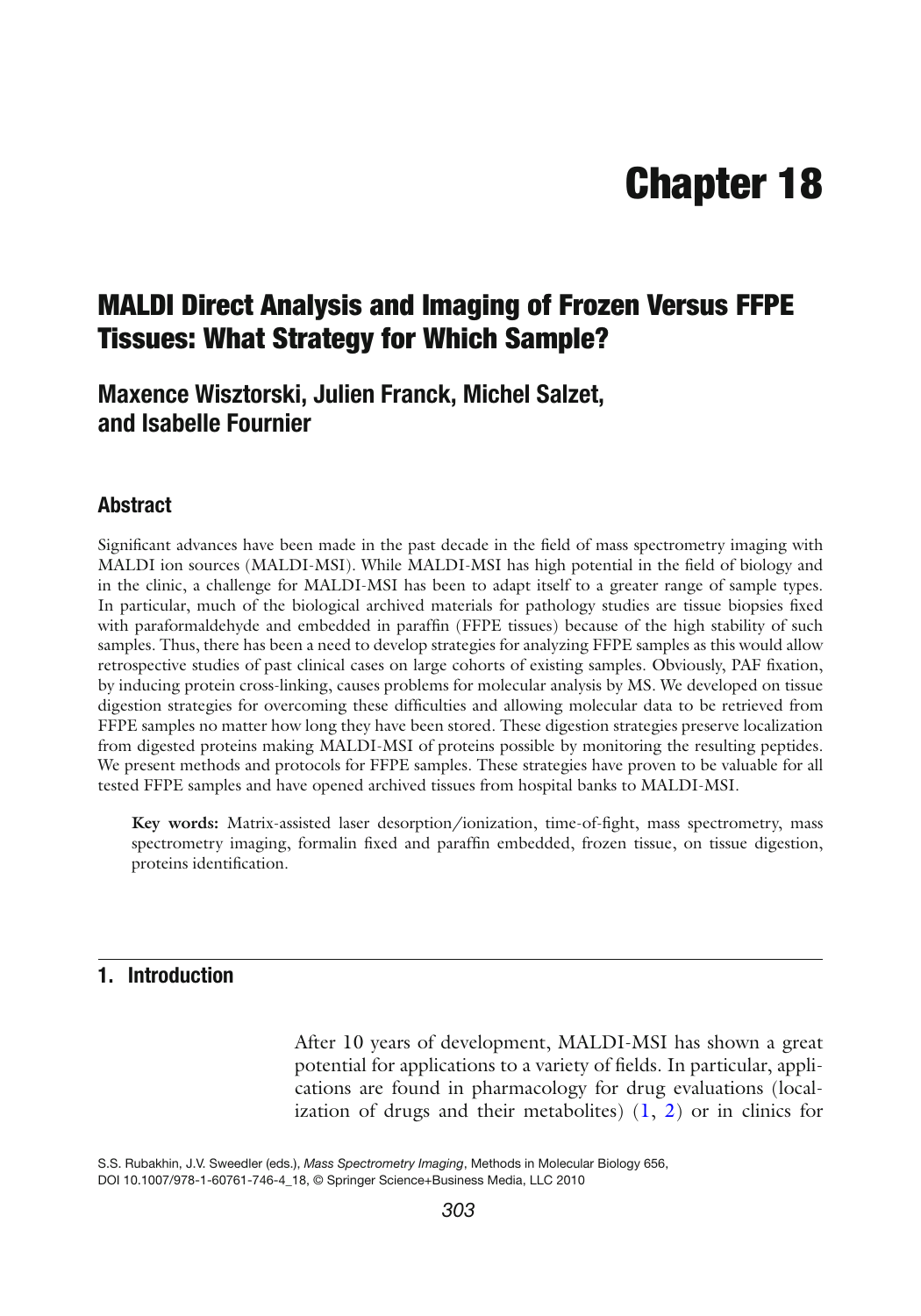# **Chapter 18**

## **MALDI Direct Analysis and Imaging of Frozen Versus FFPE Tissues: What Strategy for Which Sample?**

## **Maxence Wisztorski, Julien Franck, Michel Salzet, and Isabelle Fournier**

#### **Abstract**

Significant advances have been made in the past decade in the field of mass spectrometry imaging with MALDI ion sources (MALDI-MSI). While MALDI-MSI has high potential in the field of biology and in the clinic, a challenge for MALDI-MSI has been to adapt itself to a greater range of sample types. In particular, much of the biological archived materials for pathology studies are tissue biopsies fixed with paraformaldehyde and embedded in paraffin (FFPE tissues) because of the high stability of such samples. Thus, there has been a need to develop strategies for analyzing FFPE samples as this would allow retrospective studies of past clinical cases on large cohorts of existing samples. Obviously, PAF fixation, by inducing protein cross-linking, causes problems for molecular analysis by MS. We developed on tissue digestion strategies for overcoming these difficulties and allowing molecular data to be retrieved from FFPE samples no matter how long they have been stored. These digestion strategies preserve localization from digested proteins making MALDI-MSI of proteins possible by monitoring the resulting peptides. We present methods and protocols for FFPE samples. These strategies have proven to be valuable for all tested FFPE samples and have opened archived tissues from hospital banks to MALDI-MSI.

**Key words:** Matrix-assisted laser desorption/ionization, time-of-fight, mass spectrometry, mass spectrometry imaging, formalin fixed and paraffin embedded, frozen tissue, on tissue digestion, proteins identification.

### **1. Introduction**

After 10 years of development, MALDI-MSI has shown a great potential for applications to a variety of fields. In particular, applications are found in pharmacology for drug evaluations (localization of drugs and their metabolites)  $(1, 2)$  $(1, 2)$  $(1, 2)$  or in clinics for

S.S. Rubakhin, J.V. Sweedler (eds.), *Mass Spectrometry Imaging*, Methods in Molecular Biology 656, DOI 10.1007/978-1-60761-746-4\_18, © Springer Science+Business Media, LLC 2010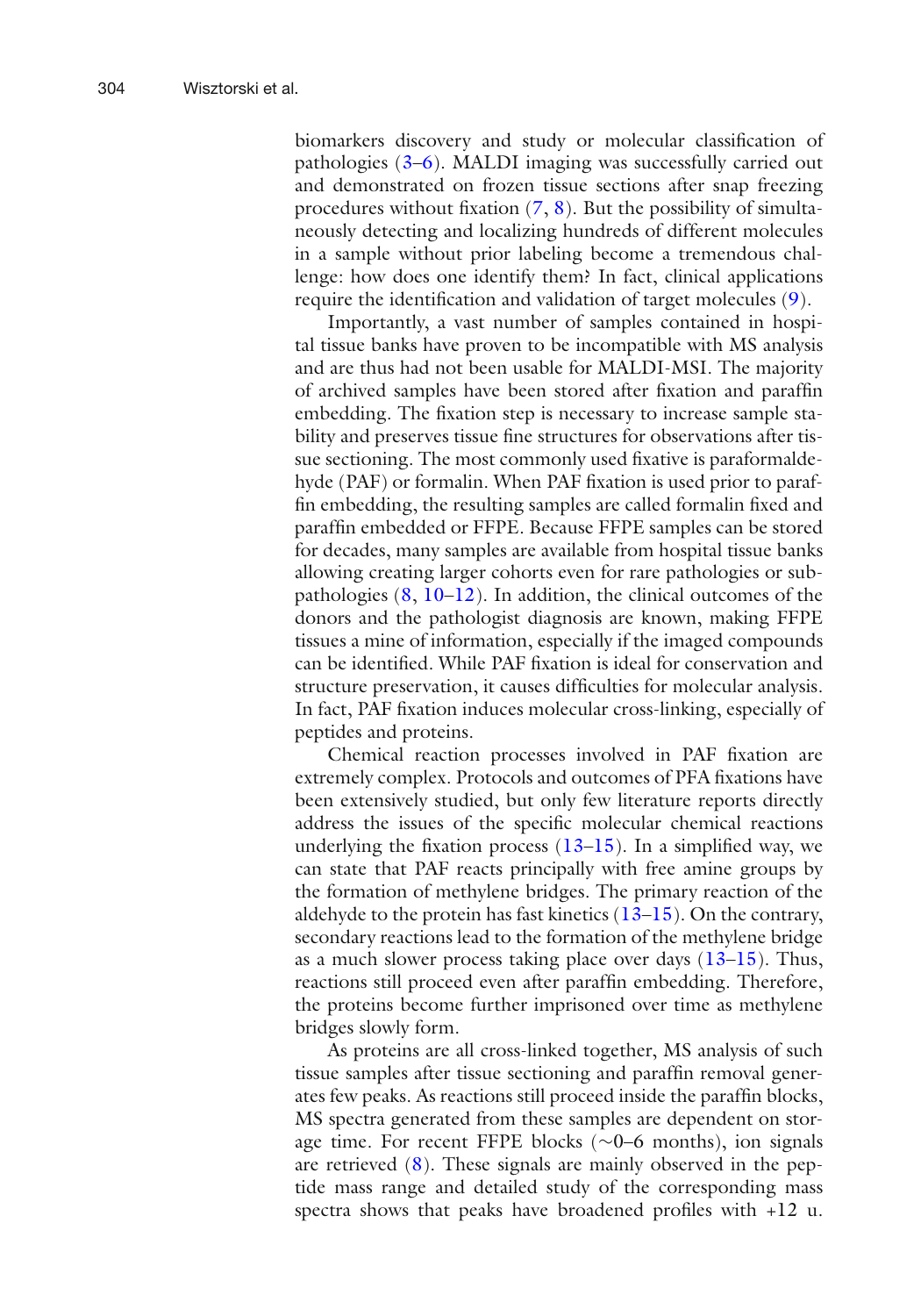biomarkers discovery and study or molecular classification of pathologies  $(3-6)$  $(3-6)$ . MALDI imaging was successfully carried out and demonstrated on frozen tissue sections after snap freezing procedures without fixation  $(7, 8)$  $(7, 8)$  $(7, 8)$ . But the possibility of simultaneously detecting and localizing hundreds of different molecules in a sample without prior labeling become a tremendous challenge: how does one identify them? In fact, clinical applications require the identification and validation of target molecules [\(9\)](#page-18-6).

Importantly, a vast number of samples contained in hospital tissue banks have proven to be incompatible with MS analysis and are thus had not been usable for MALDI-MSI. The majority of archived samples have been stored after fixation and paraffin embedding. The fixation step is necessary to increase sample stability and preserves tissue fine structures for observations after tissue sectioning. The most commonly used fixative is paraformaldehyde (PAF) or formalin. When PAF fixation is used prior to paraffin embedding, the resulting samples are called formalin fixed and paraffin embedded or FFPE. Because FFPE samples can be stored for decades, many samples are available from hospital tissue banks allowing creating larger cohorts even for rare pathologies or subpathologies  $(8, 10-12)$  $(8, 10-12)$  $(8, 10-12)$  $(8, 10-12)$ . In addition, the clinical outcomes of the donors and the pathologist diagnosis are known, making FFPE tissues a mine of information, especially if the imaged compounds can be identified. While PAF fixation is ideal for conservation and structure preservation, it causes difficulties for molecular analysis. In fact, PAF fixation induces molecular cross-linking, especially of peptides and proteins.

Chemical reaction processes involved in PAF fixation are extremely complex. Protocols and outcomes of PFA fixations have been extensively studied, but only few literature reports directly address the issues of the specific molecular chemical reactions underlying the fixation process  $(13-15)$  $(13-15)$ . In a simplified way, we can state that PAF reacts principally with free amine groups by the formation of methylene bridges. The primary reaction of the aldehyde to the protein has fast kinetics  $(13-15)$  $(13-15)$ . On the contrary, secondary reactions lead to the formation of the methylene bridge as a much slower process taking place over days  $(13-15)$  $(13-15)$ . Thus, reactions still proceed even after paraffin embedding. Therefore, the proteins become further imprisoned over time as methylene bridges slowly form.

As proteins are all cross-linked together, MS analysis of such tissue samples after tissue sectioning and paraffin removal generates few peaks. As reactions still proceed inside the paraffin blocks, MS spectra generated from these samples are dependent on storage time. For recent FFPE blocks (∼0–6 months), ion signals are retrieved  $(8)$ . These signals are mainly observed in the peptide mass range and detailed study of the corresponding mass spectra shows that peaks have broadened profiles with +12 u.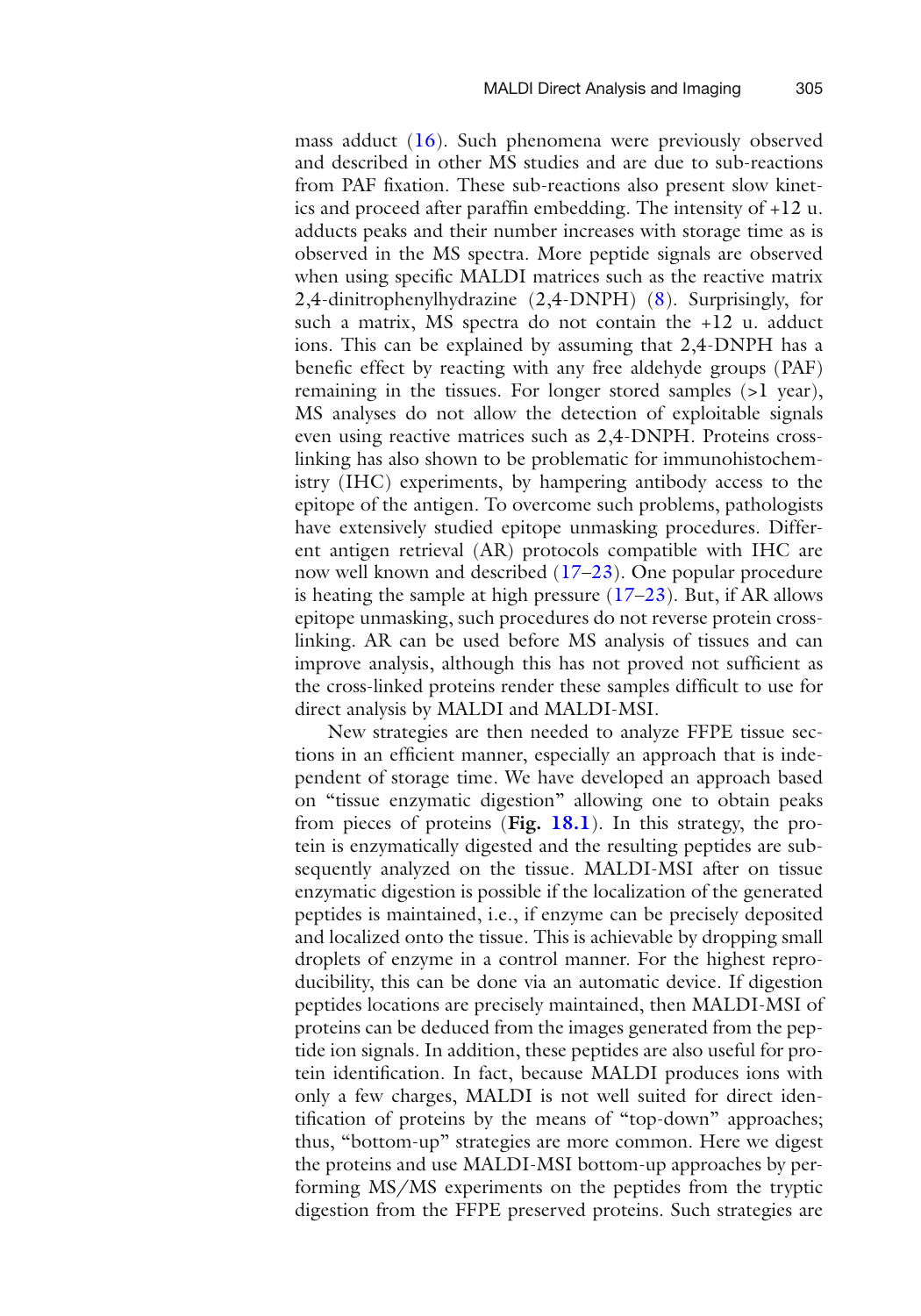mass adduct [\(16\)](#page-18-11). Such phenomena were previously observed and described in other MS studies and are due to sub-reactions from PAF fixation. These sub-reactions also present slow kinetics and proceed after paraffin embedding. The intensity of +12 u. adducts peaks and their number increases with storage time as is observed in the MS spectra. More peptide signals are observed when using specific MALDI matrices such as the reactive matrix 2,4-dinitrophenylhydrazine (2,4-DNPH) [\(8\)](#page-18-5). Surprisingly, for such a matrix, MS spectra do not contain the +12 u. adduct ions. This can be explained by assuming that 2,4-DNPH has a benefic effect by reacting with any free aldehyde groups (PAF) remaining in the tissues. For longer stored samples (>1 year), MS analyses do not allow the detection of exploitable signals even using reactive matrices such as 2,4-DNPH. Proteins crosslinking has also shown to be problematic for immunohistochemistry (IHC) experiments, by hampering antibody access to the epitope of the antigen. To overcome such problems, pathologists have extensively studied epitope unmasking procedures. Different antigen retrieval (AR) protocols compatible with IHC are now well known and described [\(17](#page-18-12)[–23\)](#page-19-0). One popular procedure is heating the sample at high pressure  $(17–23)$  $(17–23)$ . But, if AR allows epitope unmasking, such procedures do not reverse protein crosslinking. AR can be used before MS analysis of tissues and can improve analysis, although this has not proved not sufficient as the cross-linked proteins render these samples difficult to use for direct analysis by MALDI and MALDI-MSI.

New strategies are then needed to analyze FFPE tissue sections in an efficient manner, especially an approach that is independent of storage time. We have developed an approach based on "tissue enzymatic digestion" allowing one to obtain peaks from pieces of proteins (**Fig. [18.1](#page-3-0)**). In this strategy, the protein is enzymatically digested and the resulting peptides are subsequently analyzed on the tissue. MALDI-MSI after on tissue enzymatic digestion is possible if the localization of the generated peptides is maintained, i.e., if enzyme can be precisely deposited and localized onto the tissue. This is achievable by dropping small droplets of enzyme in a control manner. For the highest reproducibility, this can be done via an automatic device. If digestion peptides locations are precisely maintained, then MALDI-MSI of proteins can be deduced from the images generated from the peptide ion signals. In addition, these peptides are also useful for protein identification. In fact, because MALDI produces ions with only a few charges, MALDI is not well suited for direct identification of proteins by the means of "top-down" approaches; thus, "bottom-up" strategies are more common. Here we digest the proteins and use MALDI-MSI bottom-up approaches by performing MS/MS experiments on the peptides from the tryptic digestion from the FFPE preserved proteins. Such strategies are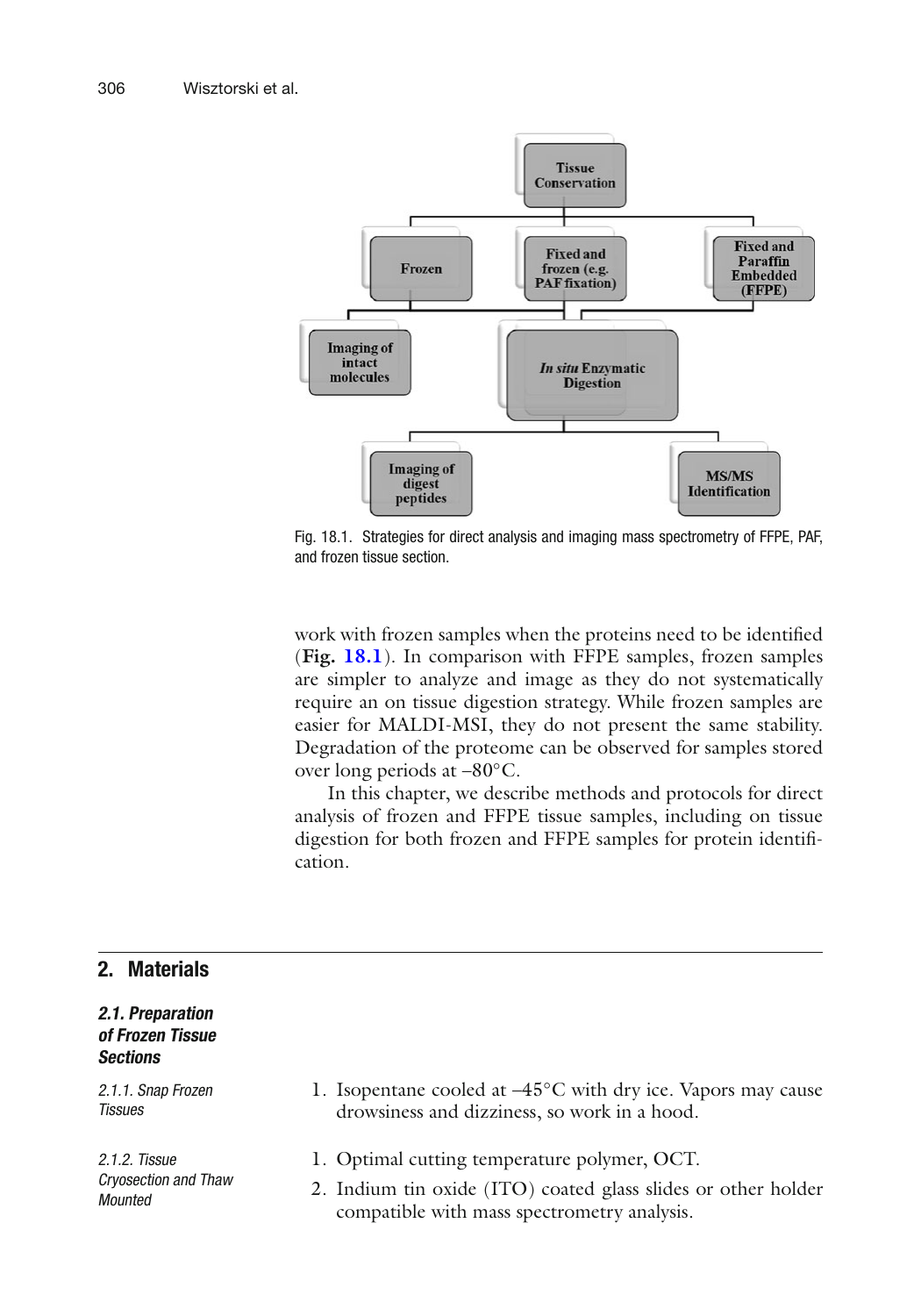

<span id="page-3-0"></span>Fig. 18.1. Strategies for direct analysis and imaging mass spectrometry of FFPE, PAF, and frozen tissue section.

work with frozen samples when the proteins need to be identified (**Fig. [18.1](#page-3-0)**). In comparison with FFPE samples, frozen samples are simpler to analyze and image as they do not systematically require an on tissue digestion strategy. While frozen samples are easier for MALDI-MSI, they do not present the same stability. Degradation of the proteome can be observed for samples stored over long periods at –80◦C.

In this chapter, we describe methods and protocols for direct analysis of frozen and FFPE tissue samples, including on tissue digestion for both frozen and FFPE samples for protein identification.

#### **2. Materials**

#### **2.1. Preparation of Frozen Tissue Sections**

2.1.1. Snap Frozen **Tissues** 

2.1.2. Tissue Cryosection and Thaw Mounted

- 1. Isopentane cooled at  $-45^{\circ}$ C with dry ice. Vapors may cause drowsiness and dizziness, so work in a hood.
- 1. Optimal cutting temperature polymer, OCT.
- 2. Indium tin oxide (ITO) coated glass slides or other holder compatible with mass spectrometry analysis.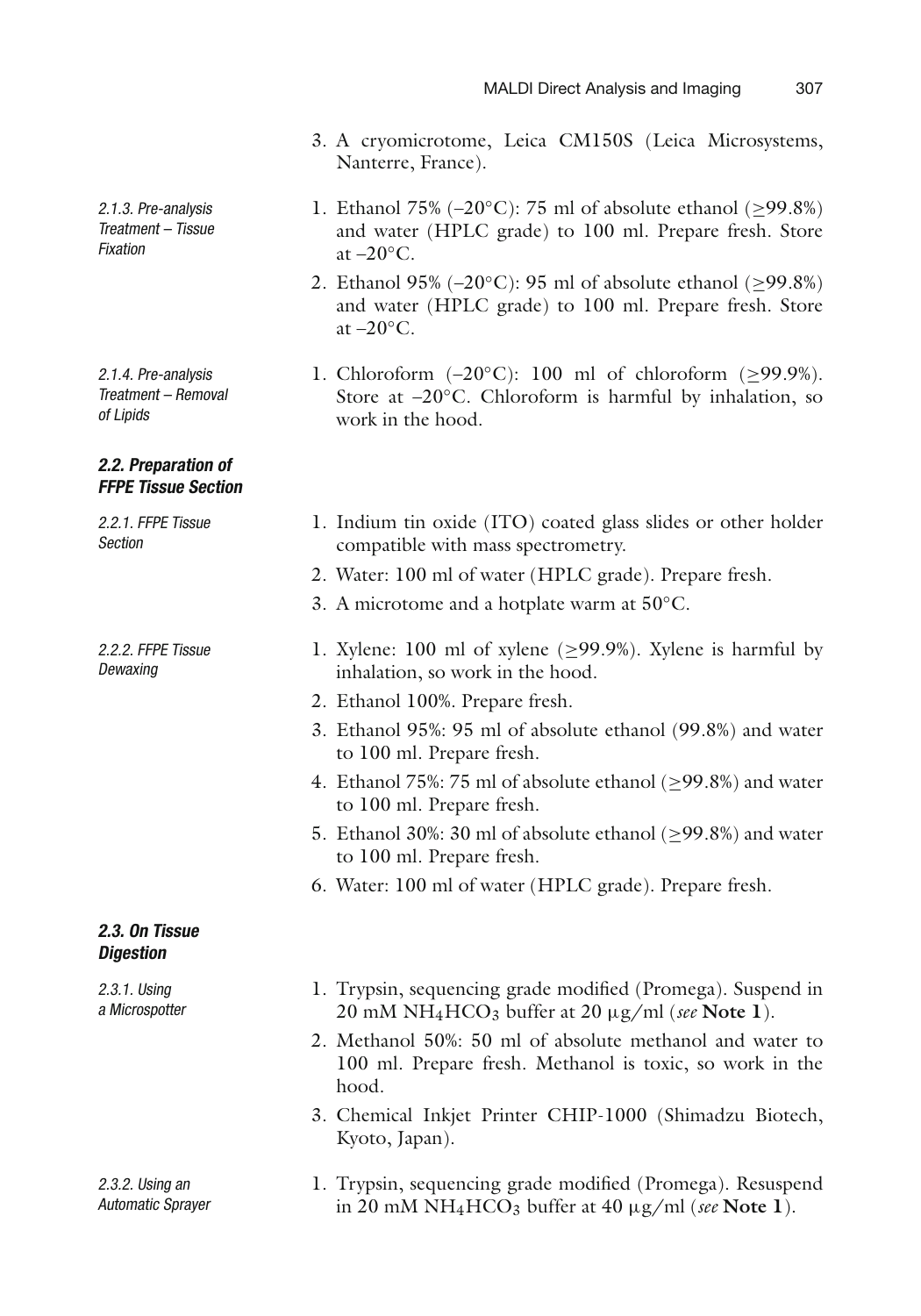2.1.3. Pre-analysis Treatment – Tissue Fixation

2.1.4. Pre-analysis Treatment – Removal of Lipids

#### **2.2. Preparation of FFPE Tissue Section**

2.2.1. FFPE Tissue Section

2.2.2. FFPE Tissue **Dewaxing** 

**2.3. On Tissue Digestion**

2.3.1. Using <sup>a</sup> Microspotter

2.3.2. Using an Automatic Sprayer

- 3. A cryomicrotome, Leica CM150S (Leica Microsystems, Nanterre, France).
- 1. Ethanol 75% (–20 $^{\circ}$ C): 75 ml of absolute ethanol ( $\geq$ 99.8%) and water (HPLC grade) to 100 ml. Prepare fresh. Store at  $-20^{\circ}$ C.
- 2. Ethanol 95% (–20◦C): 95 ml of absolute ethanol (≥99.8%) and water (HPLC grade) to 100 ml. Prepare fresh. Store at  $-20^\circ$ C.
- 1. Chloroform  $(-20^{\circ}C)$ : 100 ml of chloroform  $(\geq 99.9\%).$ Store at  $-20^\circ$ C. Chloroform is harmful by inhalation, so work in the hood.
- 1. Indium tin oxide (ITO) coated glass slides or other holder compatible with mass spectrometry.
- 2. Water: 100 ml of water (HPLC grade). Prepare fresh.
- 3. A microtome and a hotplate warm at 50◦C.
- 1. Xylene: 100 ml of xylene ( $\geq$ 99.9%). Xylene is harmful by inhalation, so work in the hood.
- 2. Ethanol 100%. Prepare fresh.
- 3. Ethanol 95%: 95 ml of absolute ethanol (99.8%) and water to 100 ml. Prepare fresh.
- 4. Ethanol 75%: 75 ml of absolute ethanol (≥99.8%) and water to 100 ml. Prepare fresh.
- 5. Ethanol 30%: 30 ml of absolute ethanol ( $\geq$ 99.8%) and water to 100 ml. Prepare fresh.
- 6. Water: 100 ml of water (HPLC grade). Prepare fresh.
- 1. Trypsin, sequencing grade modified (Promega). Suspend in 20 mM NH4HCO3 buffer at 20 μg/ml (*see* **Note 1**).
- 2. Methanol 50%: 50 ml of absolute methanol and water to 100 ml. Prepare fresh. Methanol is toxic, so work in the hood.
- 3. Chemical Inkjet Printer CHIP-1000 (Shimadzu Biotech, Kyoto, Japan).
- 1. Trypsin, sequencing grade modified (Promega). Resuspend in 20 mM NH4HCO3 buffer at 40 μg/ml (*see* **Note 1**).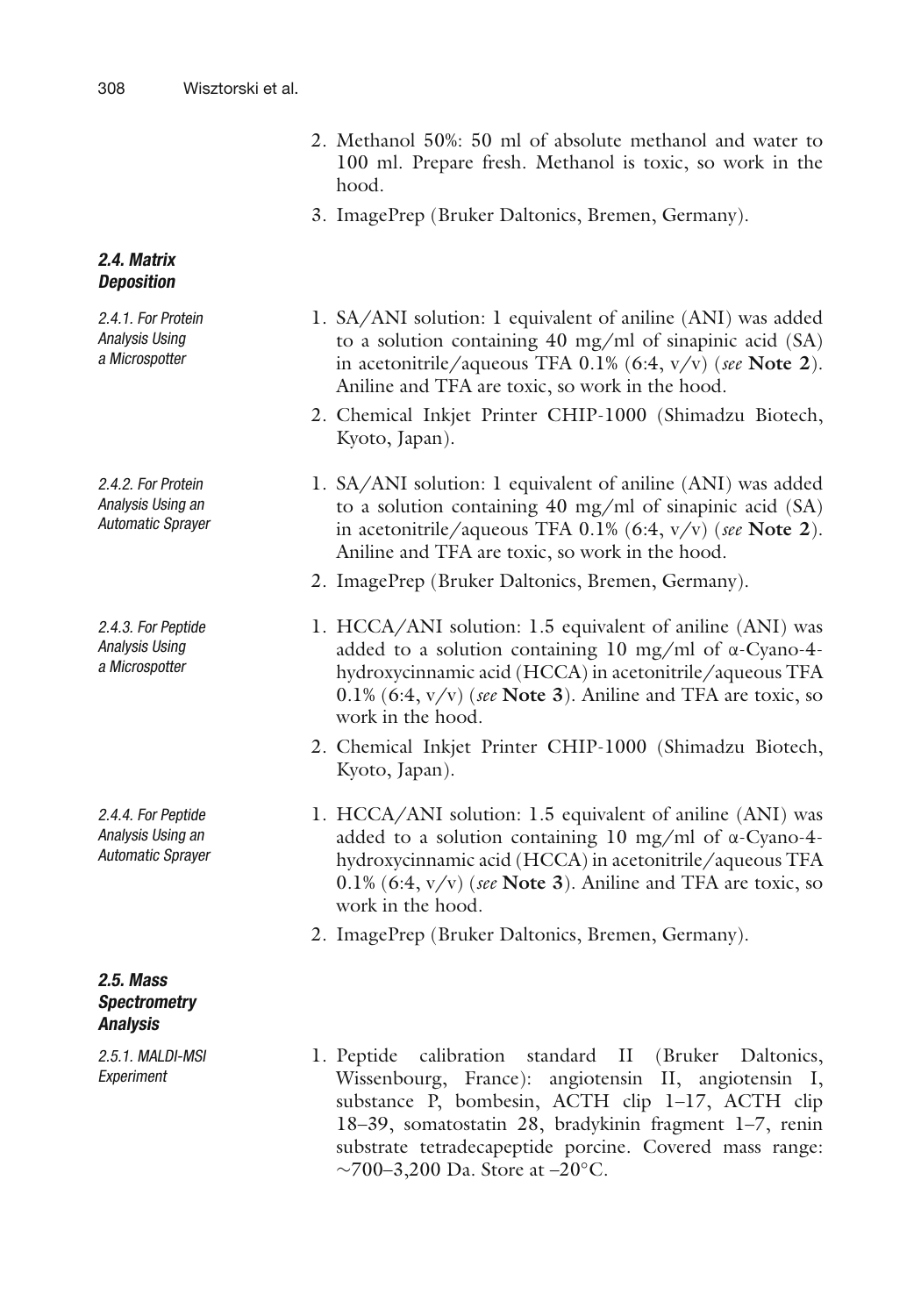**2.5. Mass Spectrometry Analysis**

2.5.1. MALDI-MSI Experiment

- 2. Methanol 50%: 50 ml of absolute methanol and water to 100 ml. Prepare fresh. Methanol is toxic, so work in the hood. 3. ImagePrep (Bruker Daltonics, Bremen, Germany). **2.4. Matrix Deposition** 2.4.1. For Protein Analysis Using <sup>a</sup> Microspotter 1. SA/ANI solution: 1 equivalent of aniline (ANI) was added to a solution containing 40 mg/ml of sinapinic acid (SA) in acetonitrile/aqueous TFA 0.1% (6:4, v/v) (*see* **Note 2**). Aniline and TFA are toxic, so work in the hood. 2. Chemical Inkjet Printer CHIP-1000 (Shimadzu Biotech, Kyoto, Japan). 2.4.2. For Protein Analysis Using an Automatic Sprayer 1. SA/ANI solution: 1 equivalent of aniline (ANI) was added to a solution containing 40 mg/ml of sinapinic acid (SA) in acetonitrile/aqueous TFA 0.1% (6:4, v/v) (*see* **Note 2**). Aniline and TFA are toxic, so work in the hood. 2. ImagePrep (Bruker Daltonics, Bremen, Germany). 2.4.3. For Peptide Analysis Using <sup>a</sup> Microspotter 1. HCCA/ANI solution: 1.5 equivalent of aniline (ANI) was added to a solution containing 10 mg/ml of α-Cyano-4 hydroxycinnamic acid (HCCA) in acetonitrile/aqueous TFA 0.1% (6:4, v/v) (*see* **Note 3**). Aniline and TFA are toxic, so work in the hood. 2. Chemical Inkjet Printer CHIP-1000 (Shimadzu Biotech, Kyoto, Japan). 2.4.4. For Peptide Analysis Using an Automatic Sprayer 1. HCCA/ANI solution: 1.5 equivalent of aniline (ANI) was added to a solution containing 10 mg/ml of α-Cyano-4 hydroxycinnamic acid (HCCA) in acetonitrile/aqueous TFA 0.1% (6:4, v/v) (*see* **Note 3**). Aniline and TFA are toxic, so work in the hood. 2. ImagePrep (Bruker Daltonics, Bremen, Germany).
	- 1. Peptide calibration standard II (Bruker Daltonics, Wissenbourg, France): angiotensin II, angiotensin I, substance P, bombesin, ACTH clip 1–17, ACTH clip 18–39, somatostatin 28, bradykinin fragment 1–7, renin substrate tetradecapeptide porcine. Covered mass range: ∼700–3,200 Da. Store at –20◦C.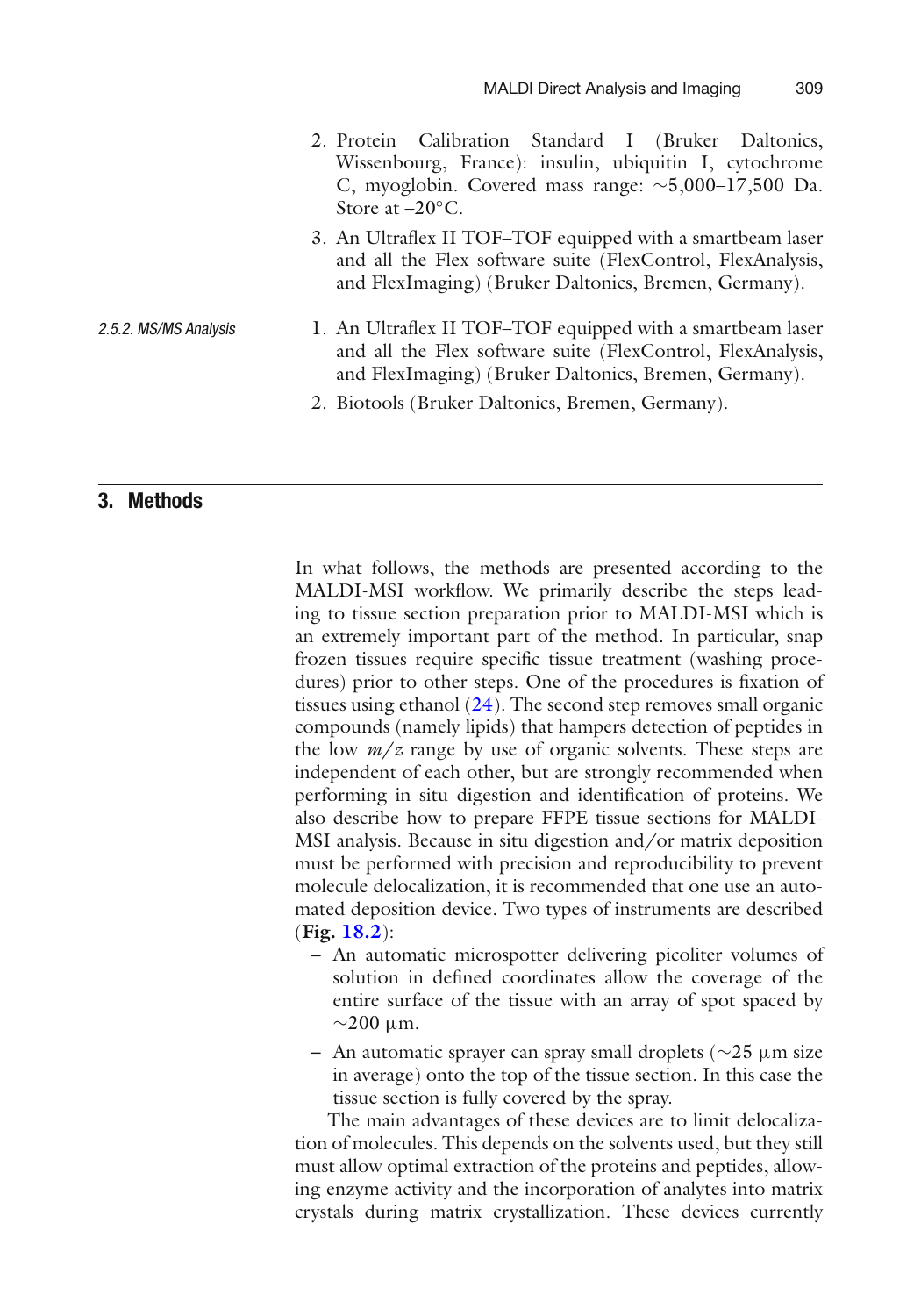- 2. Protein Calibration Standard I (Bruker Daltonics, Wissenbourg, France): insulin, ubiquitin I, cytochrome C, myoglobin. Covered mass range: ∼5,000–17,500 Da. Store at  $-20^{\circ}$ C.
	- 3. An Ultraflex II TOF–TOF equipped with a smartbeam laser and all the Flex software suite (FlexControl, FlexAnalysis, and FlexImaging) (Bruker Daltonics, Bremen, Germany).
- 2.5.2. MS/MS Analysis 1. An Ultraflex II TOF–TOF equipped with a smartbeam laser and all the Flex software suite (FlexControl, FlexAnalysis, and FlexImaging) (Bruker Daltonics, Bremen, Germany).
	- 2. Biotools (Bruker Daltonics, Bremen, Germany).

#### **3. Methods**

In what follows, the methods are presented according to the MALDI-MSI workflow. We primarily describe the steps leading to tissue section preparation prior to MALDI-MSI which is an extremely important part of the method. In particular, snap frozen tissues require specific tissue treatment (washing procedures) prior to other steps. One of the procedures is fixation of tissues using ethanol  $(24)$ . The second step removes small organic compounds (namely lipids) that hampers detection of peptides in the low *m*/*z* range by use of organic solvents. These steps are independent of each other, but are strongly recommended when performing in situ digestion and identification of proteins. We also describe how to prepare FFPE tissue sections for MALDI-MSI analysis. Because in situ digestion and/or matrix deposition must be performed with precision and reproducibility to prevent molecule delocalization, it is recommended that one use an automated deposition device. Two types of instruments are described (**Fig. [18.2](#page-7-0)**):

- **–** An automatic microspotter delivering picoliter volumes of solution in defined coordinates allow the coverage of the entire surface of the tissue with an array of spot spaced by  $\sim$ 200 μm.
- **–** An automatic sprayer can spray small droplets (∼25 μm size in average) onto the top of the tissue section. In this case the tissue section is fully covered by the spray.

The main advantages of these devices are to limit delocalization of molecules. This depends on the solvents used, but they still must allow optimal extraction of the proteins and peptides, allowing enzyme activity and the incorporation of analytes into matrix crystals during matrix crystallization. These devices currently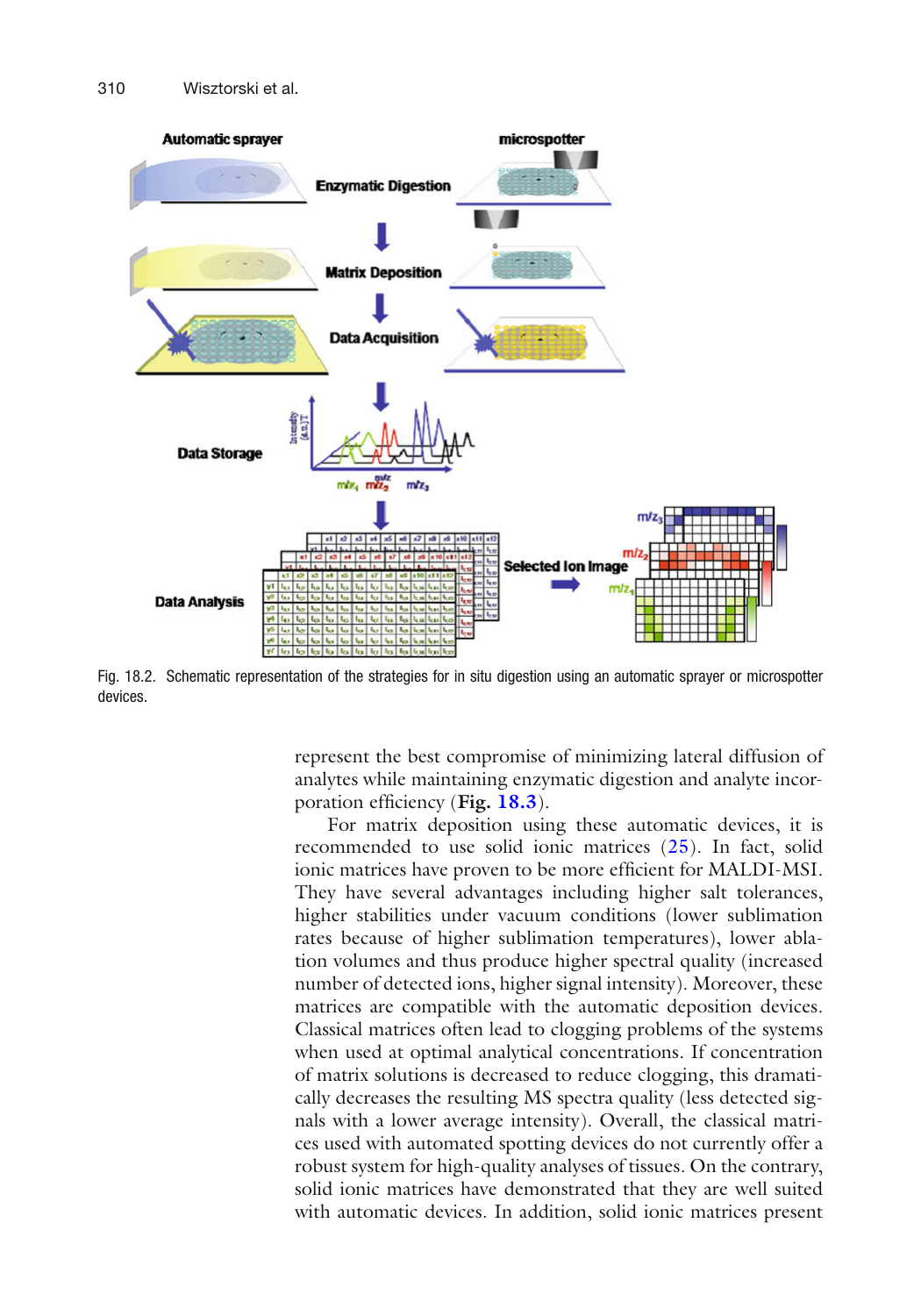

<span id="page-7-0"></span>Fig. 18.2. Schematic representation of the strategies for in situ digestion using an automatic sprayer or microspotter devices.

represent the best compromise of minimizing lateral diffusion of analytes while maintaining enzymatic digestion and analyte incorporation efficiency (**Fig. [18.3](#page-8-0)**).

For matrix deposition using these automatic devices, it is recommended to use solid ionic matrices  $(25)$ . In fact, solid ionic matrices have proven to be more efficient for MALDI-MSI. They have several advantages including higher salt tolerances, higher stabilities under vacuum conditions (lower sublimation rates because of higher sublimation temperatures), lower ablation volumes and thus produce higher spectral quality (increased number of detected ions, higher signal intensity). Moreover, these matrices are compatible with the automatic deposition devices. Classical matrices often lead to clogging problems of the systems when used at optimal analytical concentrations. If concentration of matrix solutions is decreased to reduce clogging, this dramatically decreases the resulting MS spectra quality (less detected signals with a lower average intensity). Overall, the classical matrices used with automated spotting devices do not currently offer a robust system for high-quality analyses of tissues. On the contrary, solid ionic matrices have demonstrated that they are well suited with automatic devices. In addition, solid ionic matrices present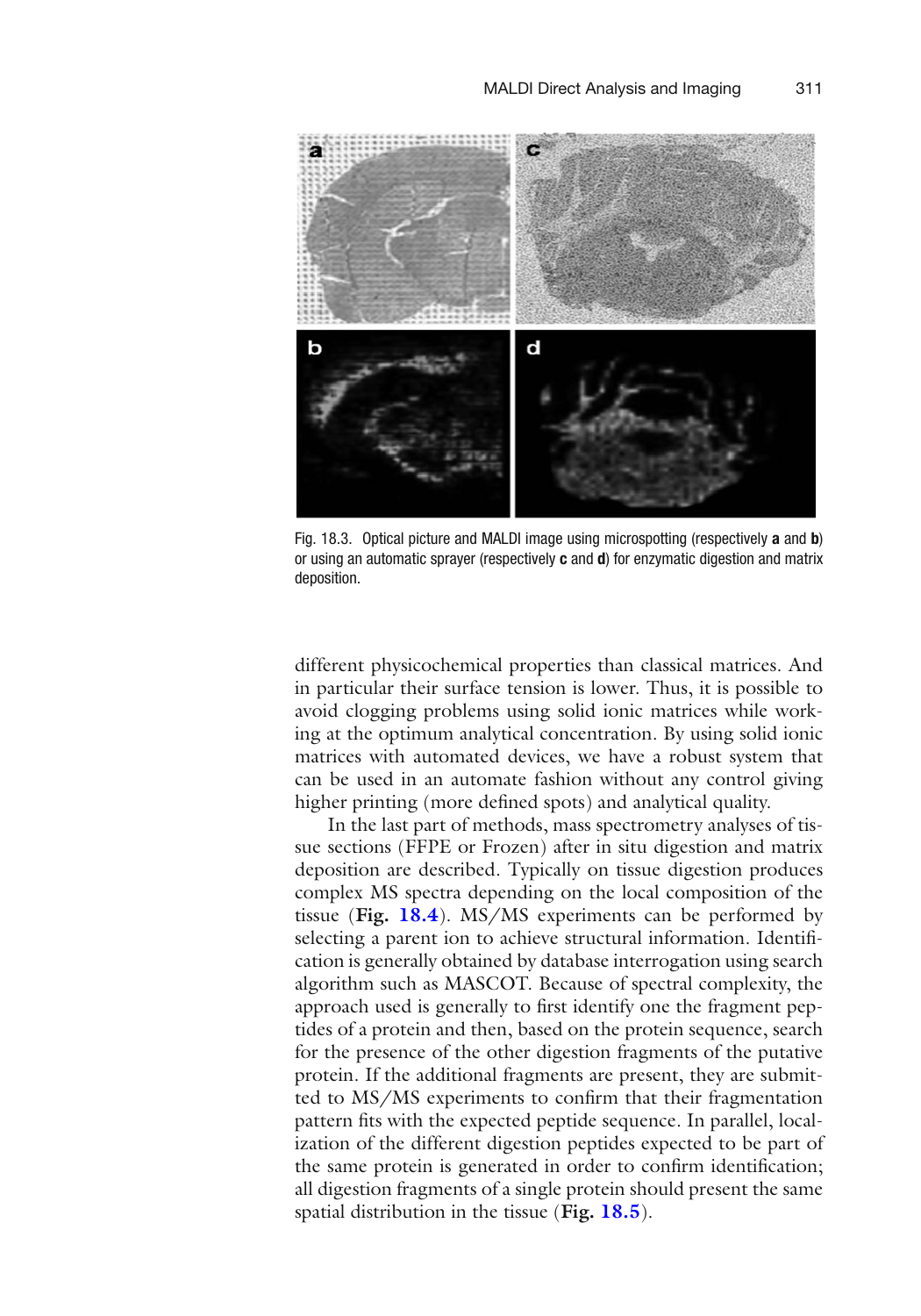

<span id="page-8-0"></span>Fig. 18.3. Optical picture and MALDI image using microspotting (respectively **a** and **b**) or using an automatic sprayer (respectively **c** and **d**) for enzymatic digestion and matrix deposition.

different physicochemical properties than classical matrices. And in particular their surface tension is lower. Thus, it is possible to avoid clogging problems using solid ionic matrices while working at the optimum analytical concentration. By using solid ionic matrices with automated devices, we have a robust system that can be used in an automate fashion without any control giving higher printing (more defined spots) and analytical quality.

In the last part of methods, mass spectrometry analyses of tissue sections (FFPE or Frozen) after in situ digestion and matrix deposition are described. Typically on tissue digestion produces complex MS spectra depending on the local composition of the tissue (**Fig. [18.4](#page-9-0)**). MS/MS experiments can be performed by selecting a parent ion to achieve structural information. Identification is generally obtained by database interrogation using search algorithm such as MASCOT. Because of spectral complexity, the approach used is generally to first identify one the fragment peptides of a protein and then, based on the protein sequence, search for the presence of the other digestion fragments of the putative protein. If the additional fragments are present, they are submitted to MS/MS experiments to confirm that their fragmentation pattern fits with the expected peptide sequence. In parallel, localization of the different digestion peptides expected to be part of the same protein is generated in order to confirm identification; all digestion fragments of a single protein should present the same spatial distribution in the tissue (**Fig. [18.5](#page-9-1)**).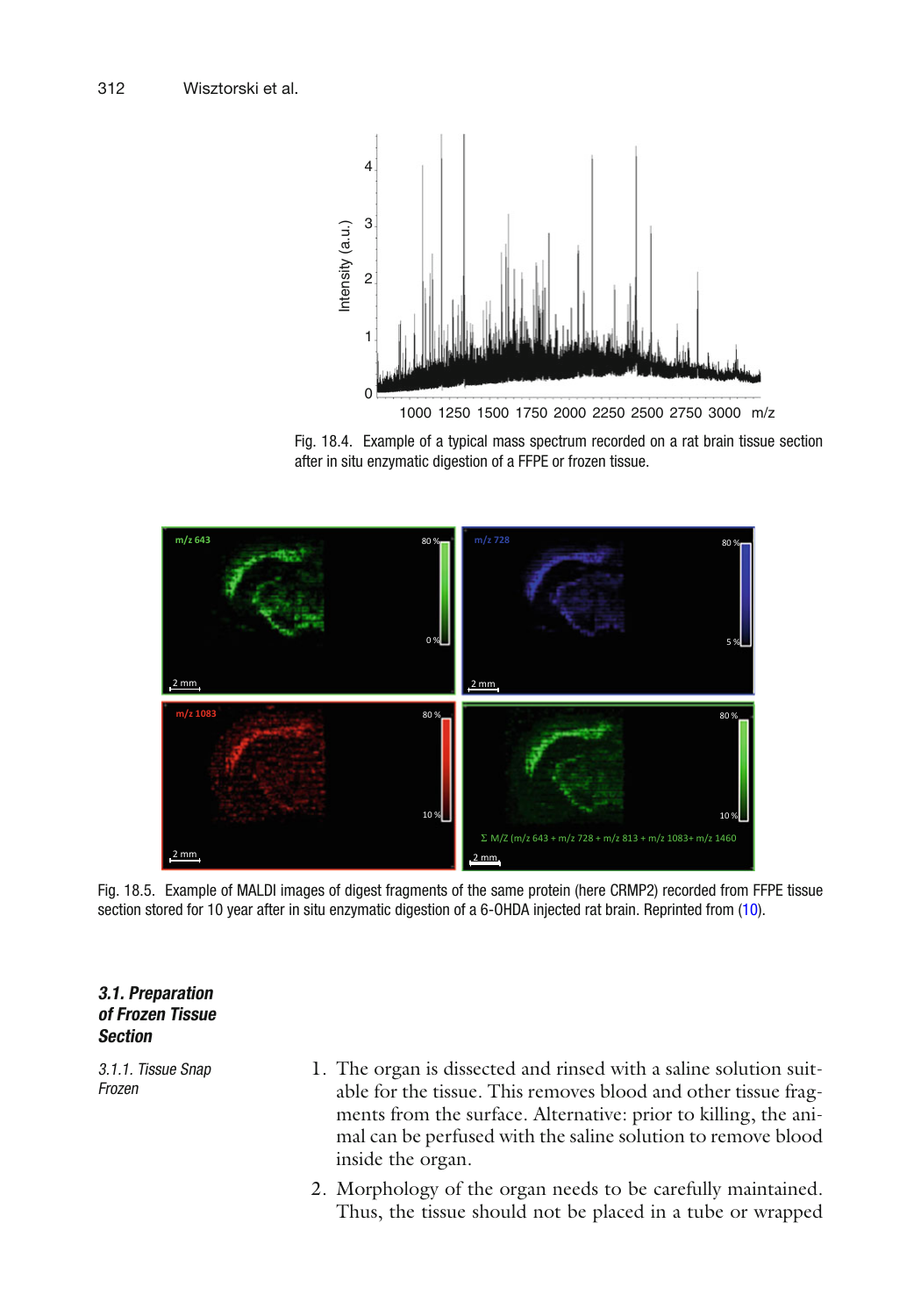

<span id="page-9-0"></span>Fig. 18.4. Example of a typical mass spectrum recorded on a rat brain tissue section after in situ enzymatic digestion of a FFPE or frozen tissue.



Fig. 18.5. Example of MALDI images of digest fragments of the same protein (here CRMP2) recorded from FFPE tissue section stored for 10 year after in situ enzymatic digestion of a 6-OHDA injected rat brain. Reprinted from [\(10\)](#page-18-7).

#### **3.1. Preparation of Frozen Tissue Section**

3.1.1. Tissue Snap Frozen

- <span id="page-9-1"></span>1. The organ is dissected and rinsed with a saline solution suitable for the tissue. This removes blood and other tissue fragments from the surface. Alternative: prior to killing, the animal can be perfused with the saline solution to remove blood inside the organ.
- 2. Morphology of the organ needs to be carefully maintained. Thus, the tissue should not be placed in a tube or wrapped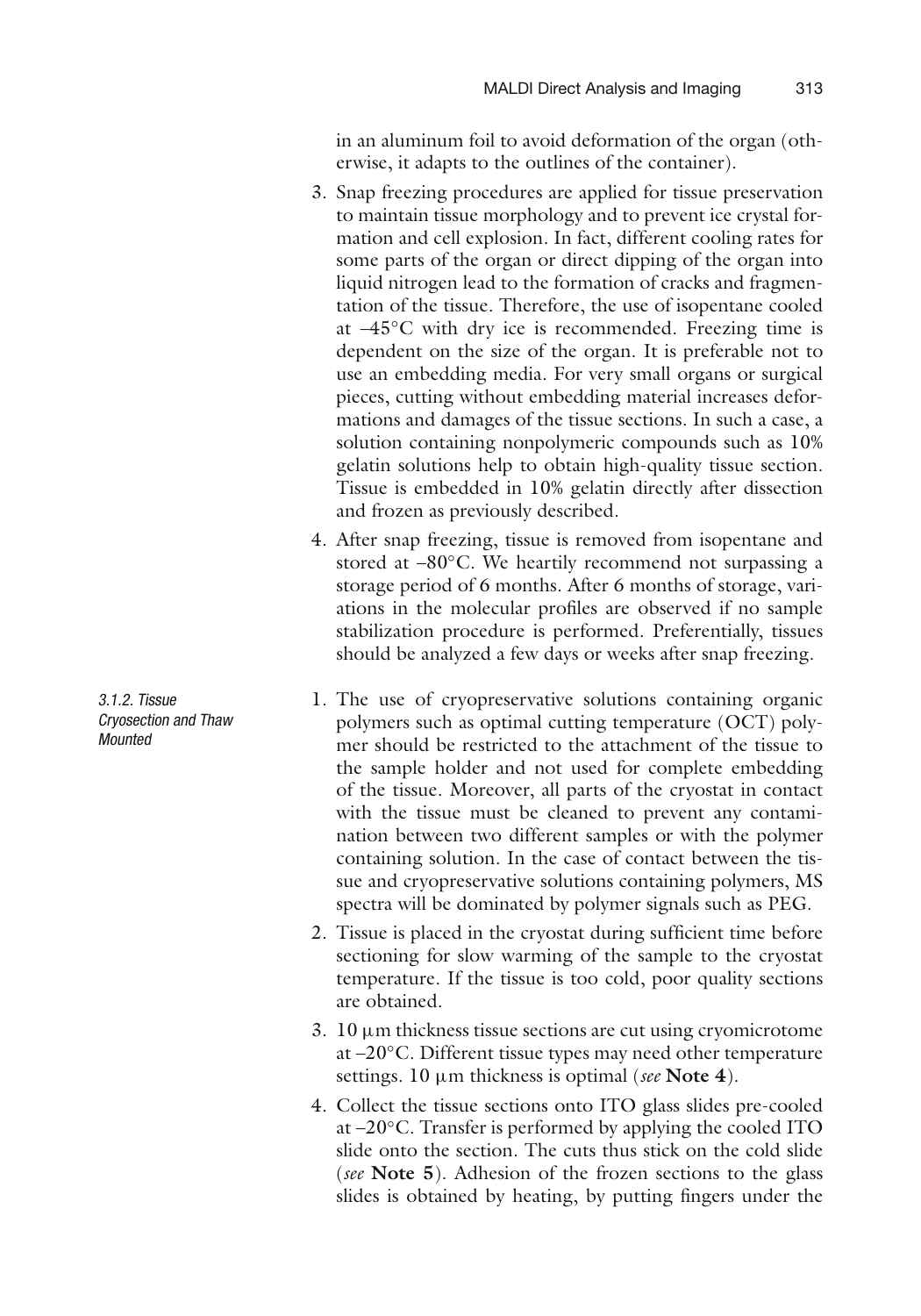in an aluminum foil to avoid deformation of the organ (otherwise, it adapts to the outlines of the container).

- 3. Snap freezing procedures are applied for tissue preservation to maintain tissue morphology and to prevent ice crystal formation and cell explosion. In fact, different cooling rates for some parts of the organ or direct dipping of the organ into liquid nitrogen lead to the formation of cracks and fragmentation of the tissue. Therefore, the use of isopentane cooled at –45◦C with dry ice is recommended. Freezing time is dependent on the size of the organ. It is preferable not to use an embedding media. For very small organs or surgical pieces, cutting without embedding material increases deformations and damages of the tissue sections. In such a case, a solution containing nonpolymeric compounds such as 10% gelatin solutions help to obtain high-quality tissue section. Tissue is embedded in 10% gelatin directly after dissection and frozen as previously described.
- 4. After snap freezing, tissue is removed from isopentane and stored at –80◦C. We heartily recommend not surpassing a storage period of 6 months. After 6 months of storage, variations in the molecular profiles are observed if no sample stabilization procedure is performed. Preferentially, tissues should be analyzed a few days or weeks after snap freezing.
- 1. The use of cryopreservative solutions containing organic polymers such as optimal cutting temperature (OCT) polymer should be restricted to the attachment of the tissue to the sample holder and not used for complete embedding of the tissue. Moreover, all parts of the cryostat in contact with the tissue must be cleaned to prevent any contamination between two different samples or with the polymer containing solution. In the case of contact between the tissue and cryopreservative solutions containing polymers, MS spectra will be dominated by polymer signals such as PEG.
- 2. Tissue is placed in the cryostat during sufficient time before sectioning for slow warming of the sample to the cryostat temperature. If the tissue is too cold, poor quality sections are obtained.
- 3. 10 μm thickness tissue sections are cut using cryomicrotome at –20◦C. Different tissue types may need other temperature settings. 10 μm thickness is optimal (*see* **Note 4**).
- 4. Collect the tissue sections onto ITO glass slides pre-cooled at –20◦C. Transfer is performed by applying the cooled ITO slide onto the section. The cuts thus stick on the cold slide (*see* **Note 5**). Adhesion of the frozen sections to the glass slides is obtained by heating, by putting fingers under the

3.1.2. Tissue Cryosection and Thaw **Mounted**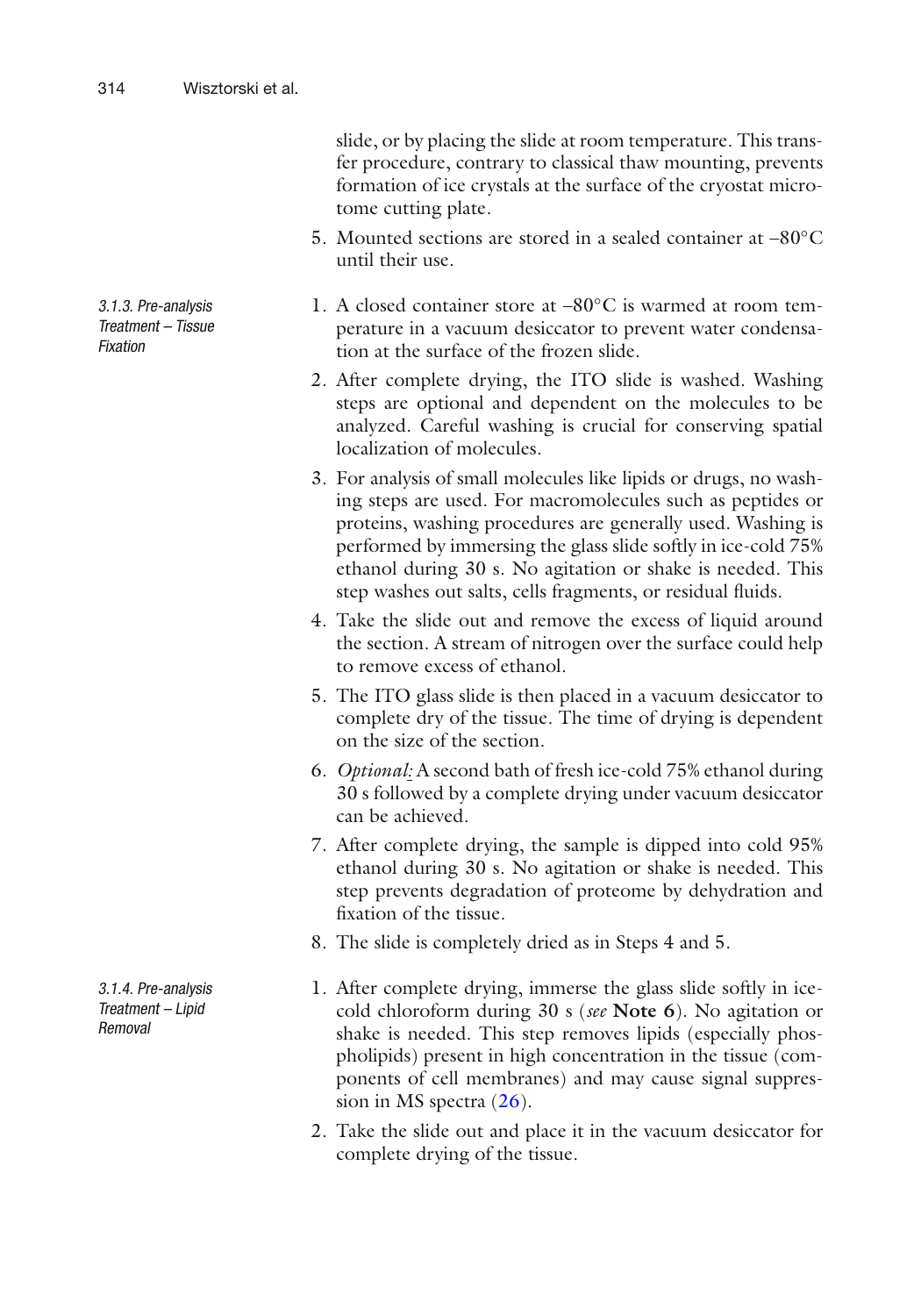3.1.3. Pre-analysis Treatment – Tissue Fixation

- slide, or by placing the slide at room temperature. This transfer procedure, contrary to classical thaw mounting, prevents formation of ice crystals at the surface of the cryostat microtome cutting plate.
- 5. Mounted sections are stored in a sealed container at –80◦C until their use.
- 1. A closed container store at –80◦C is warmed at room temperature in a vacuum desiccator to prevent water condensation at the surface of the frozen slide.
- 2. After complete drying, the ITO slide is washed. Washing steps are optional and dependent on the molecules to be analyzed. Careful washing is crucial for conserving spatial localization of molecules.
- 3. For analysis of small molecules like lipids or drugs, no washing steps are used. For macromolecules such as peptides or proteins, washing procedures are generally used. Washing is performed by immersing the glass slide softly in ice-cold 75% ethanol during 30 s. No agitation or shake is needed. This step washes out salts, cells fragments, or residual fluids.
- 4. Take the slide out and remove the excess of liquid around the section. A stream of nitrogen over the surface could help to remove excess of ethanol.
- 5. The ITO glass slide is then placed in a vacuum desiccator to complete dry of the tissue. The time of drying is dependent on the size of the section.
- 6. *Optional:* A second bath of fresh ice-cold 75% ethanol during 30 s followed by a complete drying under vacuum desiccator can be achieved.
- 7. After complete drying, the sample is dipped into cold 95% ethanol during 30 s. No agitation or shake is needed. This step prevents degradation of proteome by dehydration and fixation of the tissue.
- 8. The slide is completely dried as in Steps 4 and 5.
- 1. After complete drying, immerse the glass slide softly in icecold chloroform during 30 s (*see* **Note 6**). No agitation or shake is needed. This step removes lipids (especially phospholipids) present in high concentration in the tissue (components of cell membranes) and may cause signal suppression in MS spectra [\(26\)](#page-19-3).
- 2. Take the slide out and place it in the vacuum desiccator for complete drying of the tissue.

3.1.4. Pre-analysis Treatment – Lipid Removal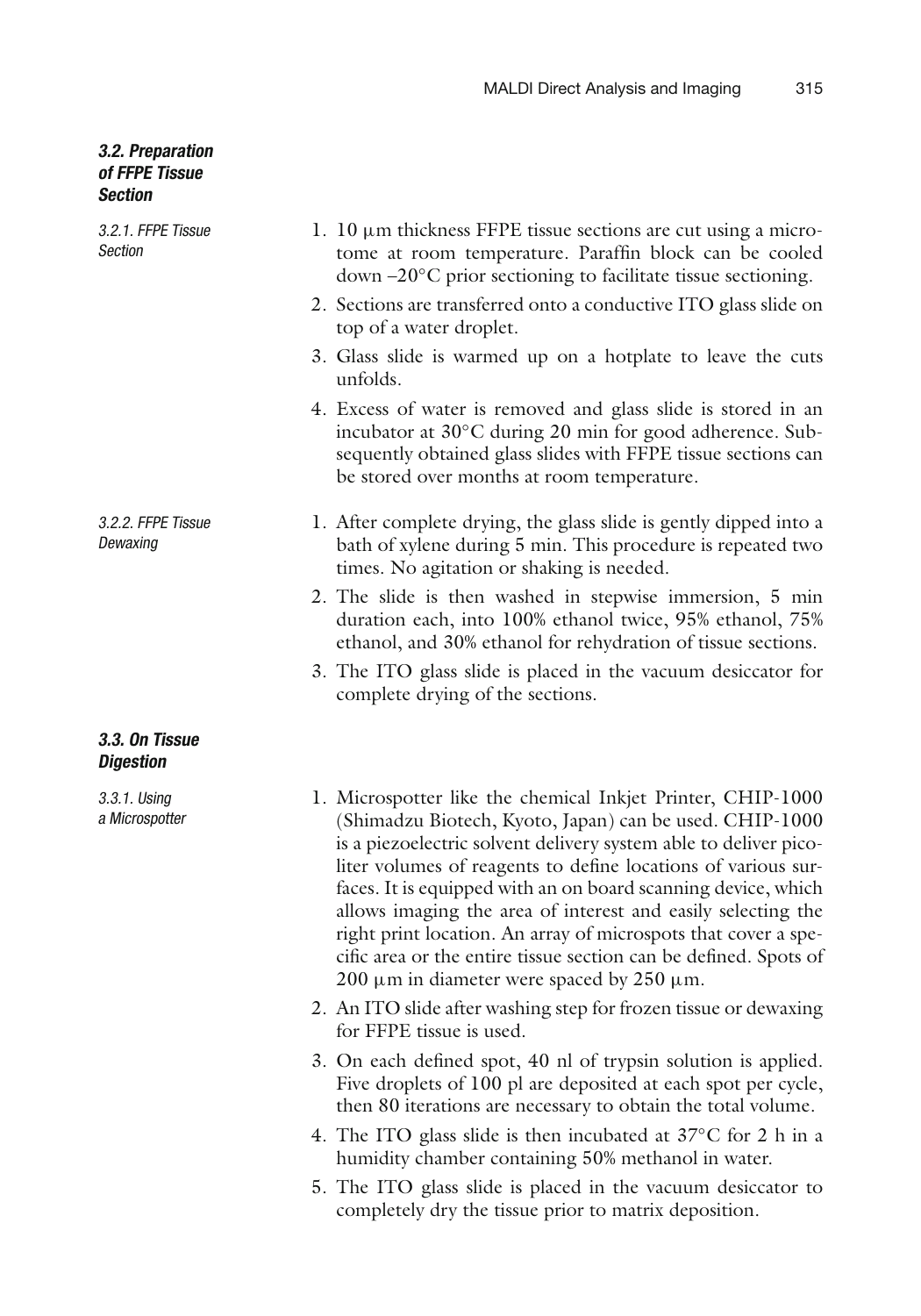#### **3.2. Preparation of FFPE Tissue Section** 3.2.1. FFPE Tissue Section 1. 10 μm thickness FFPE tissue sections are cut using a microtome at room temperature. Paraffin block can be cooled down –20◦C prior sectioning to facilitate tissue sectioning. 2. Sections are transferred onto a conductive ITO glass slide on top of a water droplet. 3. Glass slide is warmed up on a hotplate to leave the cuts unfolds. 4. Excess of water is removed and glass slide is stored in an incubator at 30◦C during 20 min for good adherence. Subsequently obtained glass slides with FFPE tissue sections can be stored over months at room temperature. 3.2.2. FFPE Tissue Dewaxing 1. After complete drying, the glass slide is gently dipped into a bath of xylene during 5 min. This procedure is repeated two times. No agitation or shaking is needed. 2. The slide is then washed in stepwise immersion, 5 min duration each, into 100% ethanol twice, 95% ethanol, 75% ethanol, and 30% ethanol for rehydration of tissue sections. 3. The ITO glass slide is placed in the vacuum desiccator for complete drying of the sections. **3.3. On Tissue Digestion** 3.3.1. Using <sup>a</sup> Microspotter 1. Microspotter like the chemical Inkjet Printer, CHIP-1000 (Shimadzu Biotech, Kyoto, Japan) can be used. CHIP-1000 is a piezoelectric solvent delivery system able to deliver picoliter volumes of reagents to define locations of various surfaces. It is equipped with an on board scanning device, which allows imaging the area of interest and easily selecting the right print location. An array of microspots that cover a specific area or the entire tissue section can be defined. Spots of 200 μm in diameter were spaced by  $250 \mu$ m. 2. An ITO slide after washing step for frozen tissue or dewaxing for FFPE tissue is used. 3. On each defined spot, 40 nl of trypsin solution is applied. Five droplets of 100 pl are deposited at each spot per cycle, then 80 iterations are necessary to obtain the total volume. 4. The ITO glass slide is then incubated at 37◦C for 2 h in a humidity chamber containing 50% methanol in water.

5. The ITO glass slide is placed in the vacuum desiccator to completely dry the tissue prior to matrix deposition.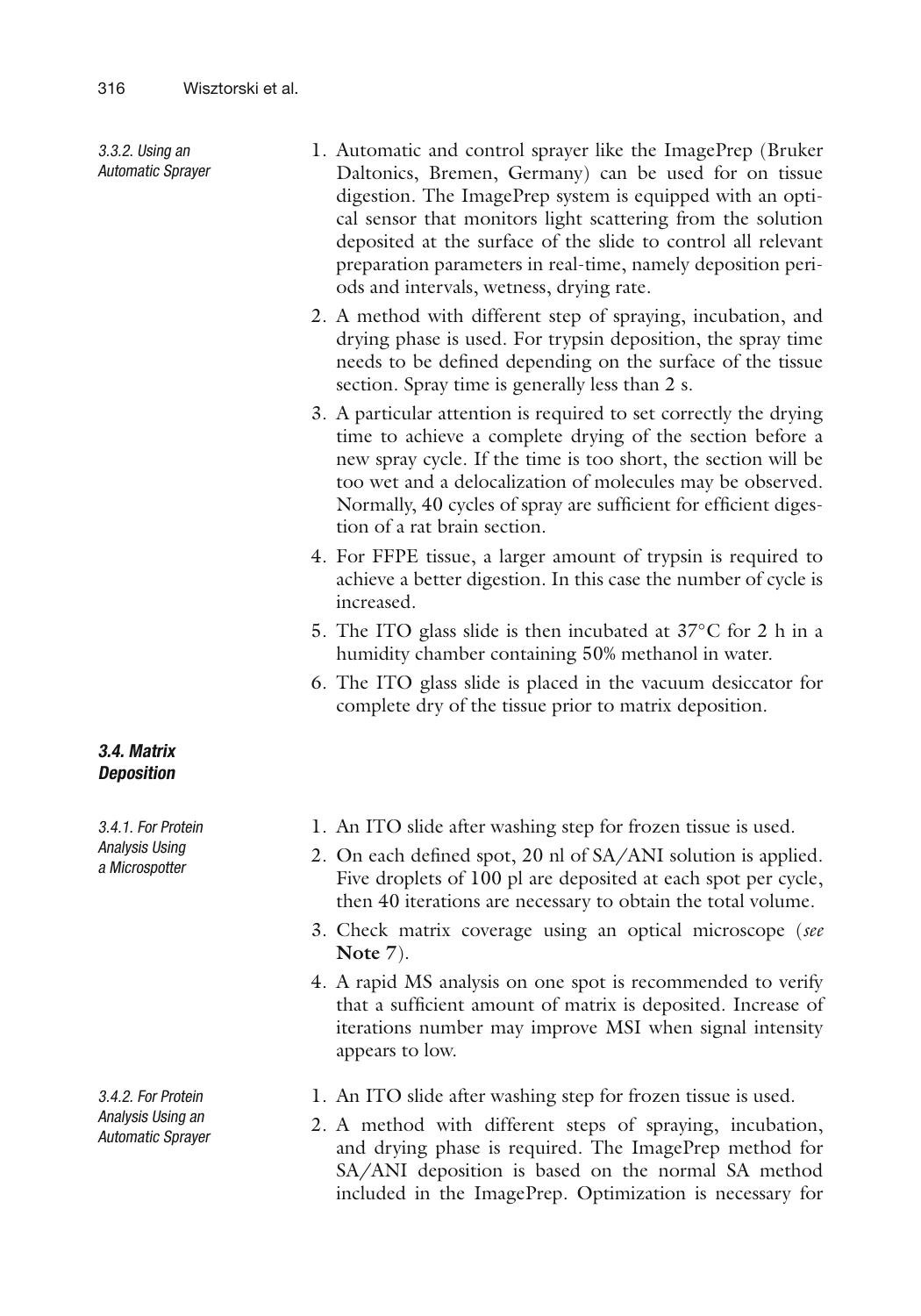3.3.2. Using an Automatic Sprayer

- 1. Automatic and control sprayer like the ImagePrep (Bruker Daltonics, Bremen, Germany) can be used for on tissue digestion. The ImagePrep system is equipped with an optical sensor that monitors light scattering from the solution deposited at the surface of the slide to control all relevant preparation parameters in real-time, namely deposition periods and intervals, wetness, drying rate.
- 2. A method with different step of spraying, incubation, and drying phase is used. For trypsin deposition, the spray time needs to be defined depending on the surface of the tissue section. Spray time is generally less than 2 s.
- 3. A particular attention is required to set correctly the drying time to achieve a complete drying of the section before a new spray cycle. If the time is too short, the section will be too wet and a delocalization of molecules may be observed. Normally, 40 cycles of spray are sufficient for efficient digestion of a rat brain section.
- 4. For FFPE tissue, a larger amount of trypsin is required to achieve a better digestion. In this case the number of cycle is increased.
- 5. The ITO glass slide is then incubated at 37◦C for 2 h in a humidity chamber containing 50% methanol in water.
- 6. The ITO glass slide is placed in the vacuum desiccator for complete dry of the tissue prior to matrix deposition.
- 1. An ITO slide after washing step for frozen tissue is used.
- 2. On each defined spot, 20 nl of SA/ANI solution is applied. Five droplets of 100 pl are deposited at each spot per cycle, then 40 iterations are necessary to obtain the total volume.
- 3. Check matrix coverage using an optical microscope (*see* **Note 7**).
- 4. A rapid MS analysis on one spot is recommended to verify that a sufficient amount of matrix is deposited. Increase of iterations number may improve MSI when signal intensity appears to low.
- 1. An ITO slide after washing step for frozen tissue is used.
- 2. A method with different steps of spraying, incubation, and drying phase is required. The ImagePrep method for SA/ANI deposition is based on the normal SA method included in the ImagePrep. Optimization is necessary for

**3.4. Matrix Deposition**

3.4.1. For Protein Analysis Using <sup>a</sup> Microspotter

3.4.2. For Protein Analysis Using an Automatic Sprayer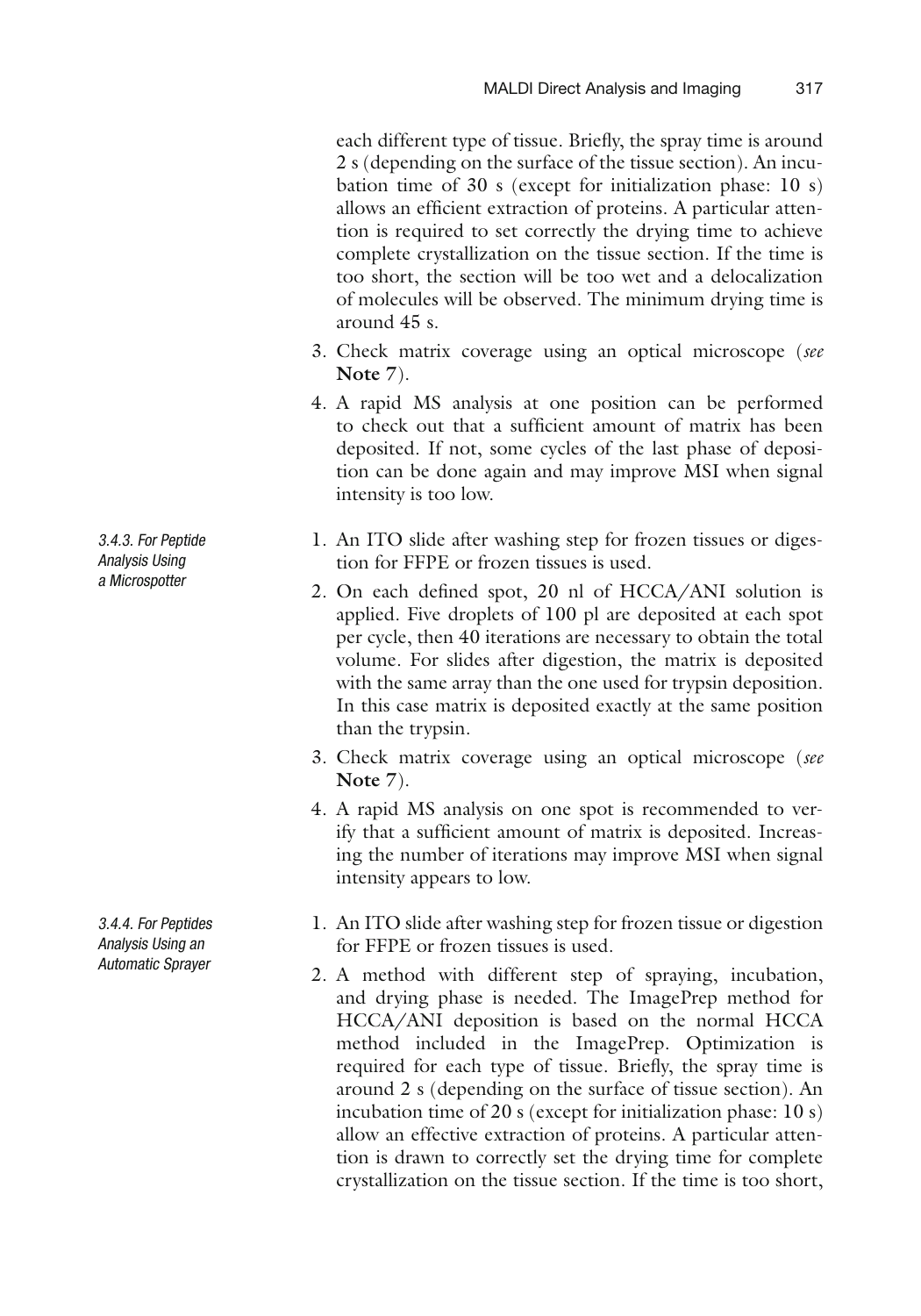each different type of tissue. Briefly, the spray time is around 2 s (depending on the surface of the tissue section). An incubation time of 30 s (except for initialization phase: 10 s) allows an efficient extraction of proteins. A particular attention is required to set correctly the drying time to achieve complete crystallization on the tissue section. If the time is too short, the section will be too wet and a delocalization of molecules will be observed. The minimum drying time is around 45 s.

- 3. Check matrix coverage using an optical microscope (*see* **Note 7**).
- 4. A rapid MS analysis at one position can be performed to check out that a sufficient amount of matrix has been deposited. If not, some cycles of the last phase of deposition can be done again and may improve MSI when signal intensity is too low.
- 1. An ITO slide after washing step for frozen tissues or digestion for FFPE or frozen tissues is used.
- 2. On each defined spot, 20 nl of HCCA/ANI solution is applied. Five droplets of 100 pl are deposited at each spot per cycle, then 40 iterations are necessary to obtain the total volume. For slides after digestion, the matrix is deposited with the same array than the one used for trypsin deposition. In this case matrix is deposited exactly at the same position than the trypsin.
- 3. Check matrix coverage using an optical microscope (*see* **Note 7**).
- 4. A rapid MS analysis on one spot is recommended to verify that a sufficient amount of matrix is deposited. Increasing the number of iterations may improve MSI when signal intensity appears to low.
- 1. An ITO slide after washing step for frozen tissue or digestion for FFPE or frozen tissues is used.
- 2. A method with different step of spraying, incubation, and drying phase is needed. The ImagePrep method for HCCA/ANI deposition is based on the normal HCCA method included in the ImagePrep. Optimization is required for each type of tissue. Briefly, the spray time is around 2 s (depending on the surface of tissue section). An incubation time of 20 s (except for initialization phase: 10 s) allow an effective extraction of proteins. A particular attention is drawn to correctly set the drying time for complete crystallization on the tissue section. If the time is too short,

3.4.3. For Peptide Analysis Using <sup>a</sup> Microspotter

3.4.4. For Peptides Analysis Using an Automatic Sprayer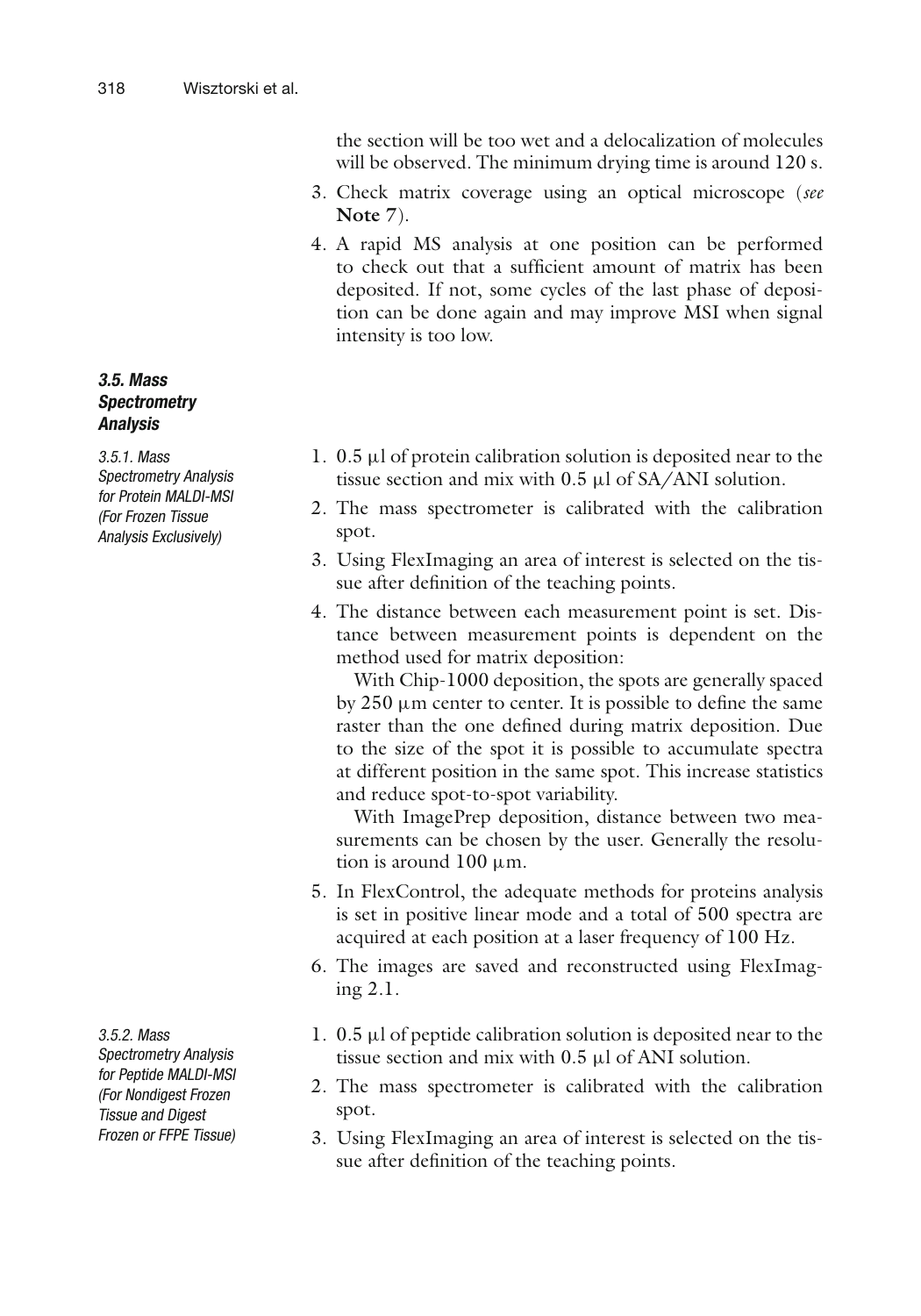the section will be too wet and a delocalization of molecules will be observed. The minimum drying time is around 120 s.

- 3. Check matrix coverage using an optical microscope (*see* **Note 7**).
- 4. A rapid MS analysis at one position can be performed to check out that a sufficient amount of matrix has been deposited. If not, some cycles of the last phase of deposition can be done again and may improve MSI when signal intensity is too low.
- 1. 0.5 μl of protein calibration solution is deposited near to the tissue section and mix with  $0.5 \mu$ l of SA/ANI solution.
- 2. The mass spectrometer is calibrated with the calibration spot.
- 3. Using FlexImaging an area of interest is selected on the tissue after definition of the teaching points.
- 4. The distance between each measurement point is set. Distance between measurement points is dependent on the method used for matrix deposition:

With Chip-1000 deposition, the spots are generally spaced by 250 μm center to center. It is possible to define the same raster than the one defined during matrix deposition. Due to the size of the spot it is possible to accumulate spectra at different position in the same spot. This increase statistics and reduce spot-to-spot variability.

With ImagePrep deposition, distance between two measurements can be chosen by the user. Generally the resolution is around  $100 \mu m$ .

- 5. In FlexControl, the adequate methods for proteins analysis is set in positive linear mode and a total of 500 spectra are acquired at each position at a laser frequency of 100 Hz.
- 6. The images are saved and reconstructed using FlexImaging 2.1.
- 1. 0.5 μl of peptide calibration solution is deposited near to the tissue section and mix with 0.5 μl of ANI solution.
- 2. The mass spectrometer is calibrated with the calibration spot.
- 3. Using FlexImaging an area of interest is selected on the tissue after definition of the teaching points.

#### **3.5. Mass Spectrometry Analysis**

3.5.1. Mass Spectrometry Analysis for Protein MALDI-MSI (For Frozen Tissue Analysis Exclusively)

3.5.2. Mass

Spectrometry Analysis for Peptide MALDI-MSI (For Nondigest Frozen Tissue and Digest Frozen or FFPE Tissue)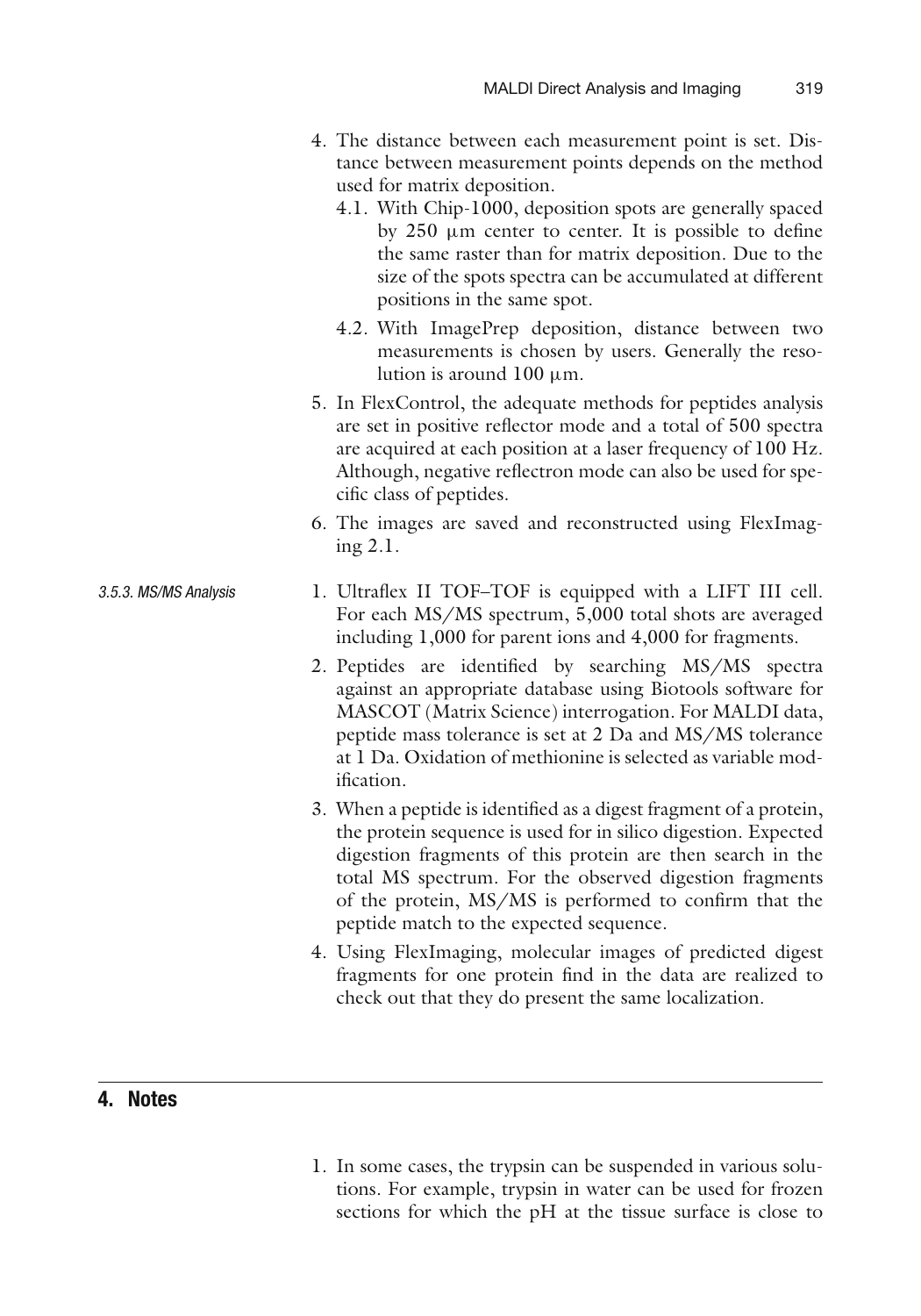- 4. The distance between each measurement point is set. Distance between measurement points depends on the method used for matrix deposition.
	- 4.1. With Chip-1000, deposition spots are generally spaced by 250 μm center to center. It is possible to define the same raster than for matrix deposition. Due to the size of the spots spectra can be accumulated at different positions in the same spot.
	- 4.2. With ImagePrep deposition, distance between two measurements is chosen by users. Generally the resolution is around 100 μm.
- 5. In FlexControl, the adequate methods for peptides analysis are set in positive reflector mode and a total of 500 spectra are acquired at each position at a laser frequency of 100 Hz. Although, negative reflectron mode can also be used for specific class of peptides.
- 6. The images are saved and reconstructed using FlexImaging 2.1.
- 3.5.3. MS/MS Analysis 1. Ultraflex II TOF–TOF is equipped with a LIFT III cell. For each MS/MS spectrum, 5,000 total shots are averaged including 1,000 for parent ions and 4,000 for fragments.
	- 2. Peptides are identified by searching MS/MS spectra against an appropriate database using Biotools software for MASCOT (Matrix Science) interrogation. For MALDI data, peptide mass tolerance is set at 2 Da and MS/MS tolerance at 1 Da. Oxidation of methionine is selected as variable modification.
	- 3. When a peptide is identified as a digest fragment of a protein, the protein sequence is used for in silico digestion. Expected digestion fragments of this protein are then search in the total MS spectrum. For the observed digestion fragments of the protein, MS/MS is performed to confirm that the peptide match to the expected sequence.
	- 4. Using FlexImaging, molecular images of predicted digest fragments for one protein find in the data are realized to check out that they do present the same localization.

#### **4. Notes**

1. In some cases, the trypsin can be suspended in various solutions. For example, trypsin in water can be used for frozen sections for which the pH at the tissue surface is close to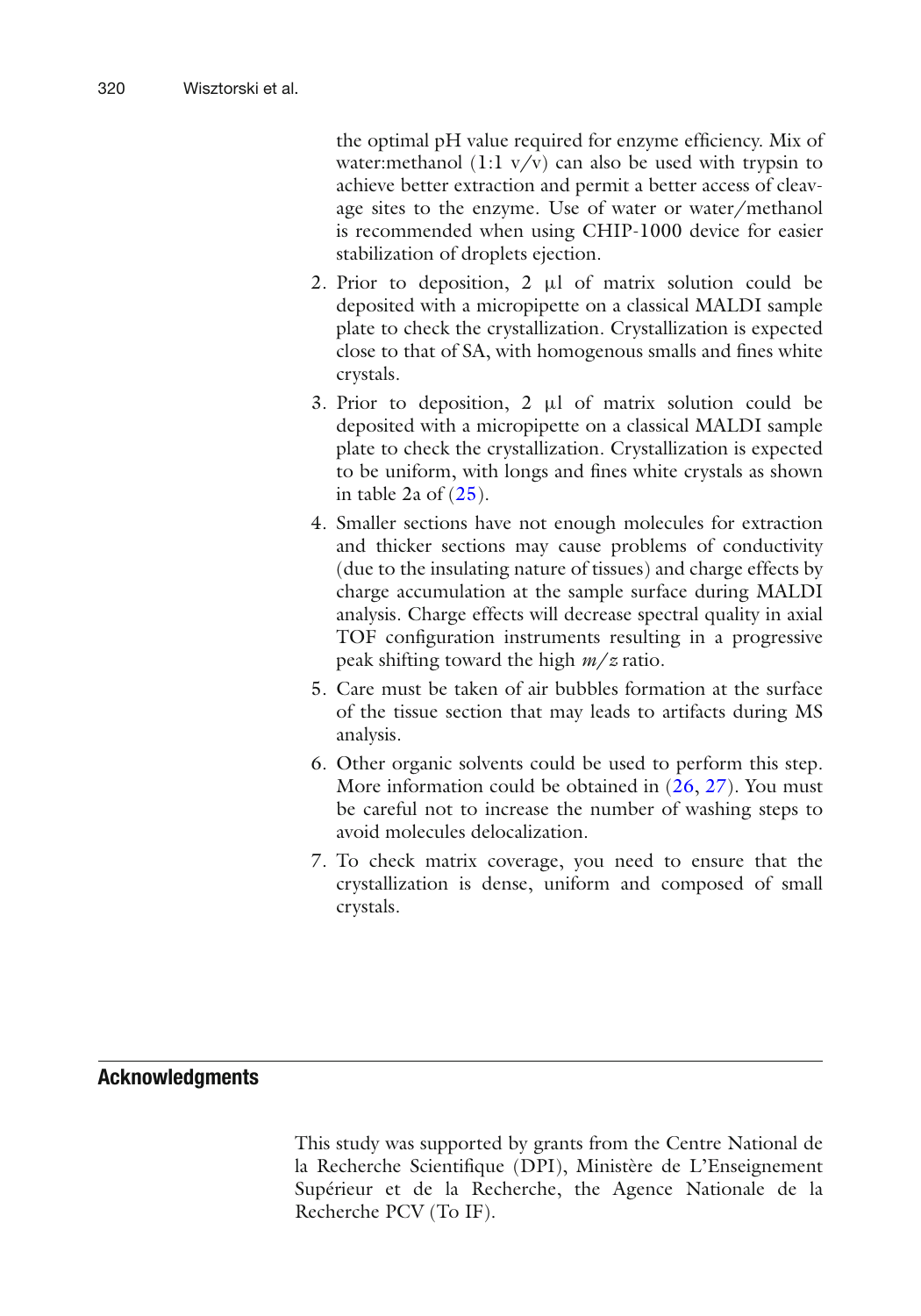the optimal pH value required for enzyme efficiency. Mix of water: methanol  $(1:1 \text{ v/v})$  can also be used with trypsin to achieve better extraction and permit a better access of cleavage sites to the enzyme. Use of water or water/methanol is recommended when using CHIP-1000 device for easier stabilization of droplets ejection.

- 2. Prior to deposition, 2 μl of matrix solution could be deposited with a micropipette on a classical MALDI sample plate to check the crystallization. Crystallization is expected close to that of SA, with homogenous smalls and fines white crystals.
- 3. Prior to deposition, 2 μl of matrix solution could be deposited with a micropipette on a classical MALDI sample plate to check the crystallization. Crystallization is expected to be uniform, with longs and fines white crystals as shown in table 2a of  $(25)$ .
- 4. Smaller sections have not enough molecules for extraction and thicker sections may cause problems of conductivity (due to the insulating nature of tissues) and charge effects by charge accumulation at the sample surface during MALDI analysis. Charge effects will decrease spectral quality in axial TOF configuration instruments resulting in a progressive peak shifting toward the high *m*/*z* ratio.
- 5. Care must be taken of air bubbles formation at the surface of the tissue section that may leads to artifacts during MS analysis.
- 6. Other organic solvents could be used to perform this step. More information could be obtained in  $(26, 27)$  $(26, 27)$  $(26, 27)$ . You must be careful not to increase the number of washing steps to avoid molecules delocalization.
- 7. To check matrix coverage, you need to ensure that the crystallization is dense, uniform and composed of small crystals.

#### **Acknowledgments**

This study was supported by grants from the Centre National de la Recherche Scientifique (DPI), Ministère de L'Enseignement Supérieur et de la Recherche, the Agence Nationale de la Recherche PCV (To IF).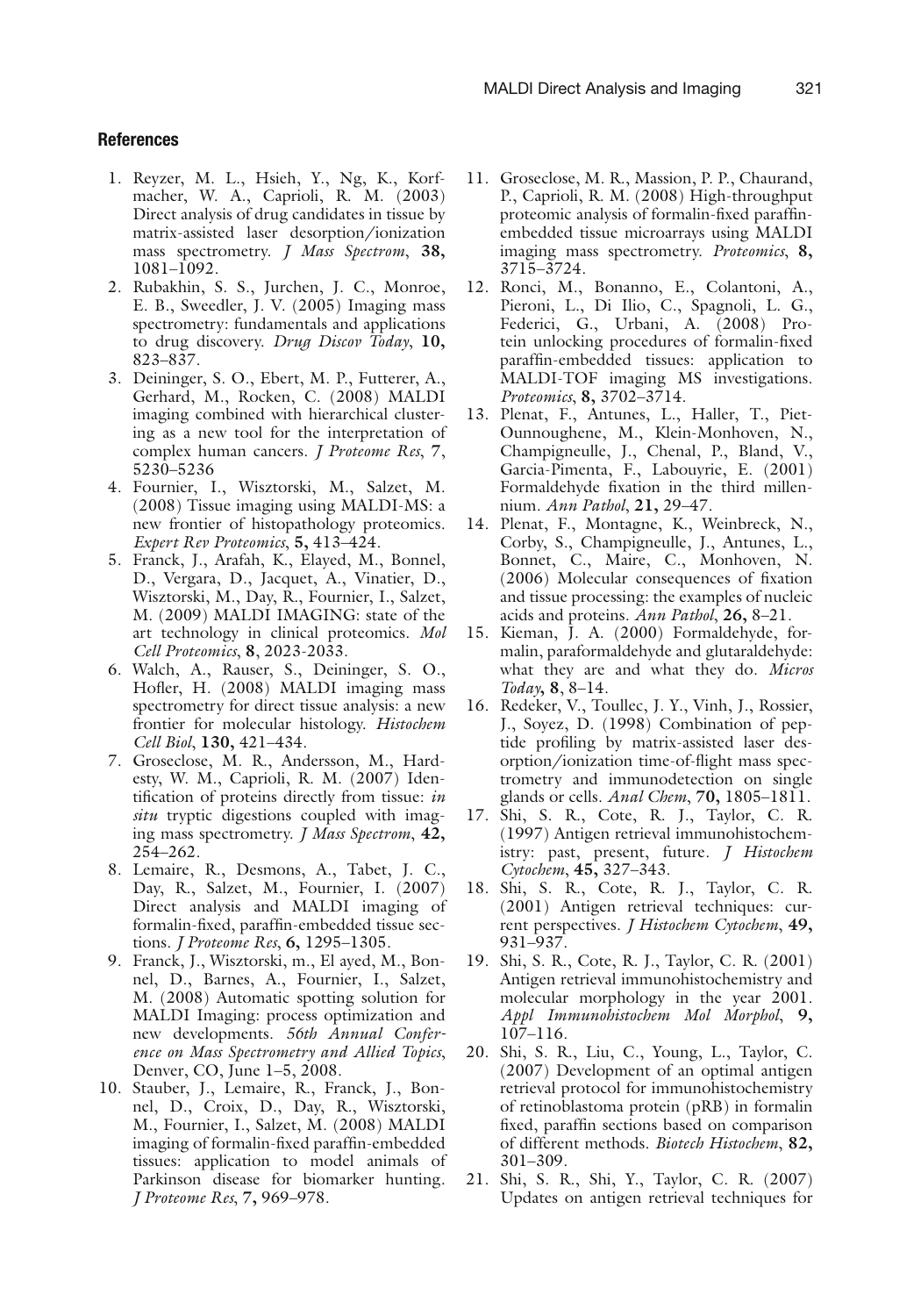#### **References**

- 1. Reyzer, M. L., Hsieh, Y., Ng, K., Korfmacher, W. A., Caprioli, R. M. (2003) Direct analysis of drug candidates in tissue by matrix-assisted laser desorption/ionization mass spectrometry. *J Mass Spectrom*, **38,** 1081–1092.
- <span id="page-18-0"></span>2. Rubakhin, S. S., Jurchen, J. C., Monroe, E. B., Sweedler, J. V. (2005) Imaging mass spectrometry: fundamentals and applications to drug discovery. *Drug Discov Today*, **10,** 823–837.
- <span id="page-18-1"></span>3. Deininger, S. O., Ebert, M. P., Futterer, A., Gerhard, M., Rocken, C. (2008) MALDI imaging combined with hierarchical clustering as a new tool for the interpretation of complex human cancers. *J Proteome Res*, **7**, 5230–5236
- <span id="page-18-2"></span>4. Fournier, I., Wisztorski, M., Salzet, M. (2008) Tissue imaging using MALDI-MS: a new frontier of histopathology proteomics. *Expert Rev Proteomics*, **5,** 413–424.
- 5. Franck, J., Arafah, K., Elayed, M., Bonnel, D., Vergara, D., Jacquet, A., Vinatier, D., Wisztorski, M., Day, R., Fournier, I., Salzet, M. (2009) MALDI IMAGING: state of the art technology in clinical proteomics. *Mol Cell Proteomics*, **8**, 2023-2033.
- 6. Walch, A., Rauser, S., Deininger, S. O., Hofler, H. (2008) MALDI imaging mass spectrometry for direct tissue analysis: a new frontier for molecular histology. *Histochem Cell Biol*, **130,** 421–434.
- <span id="page-18-3"></span>7. Groseclose, M. R., Andersson, M., Hardesty, W. M., Caprioli, R. M. (2007) Identification of proteins directly from tissue: *in situ* tryptic digestions coupled with imaging mass spectrometry. *J Mass Spectrom*, **42,** 254–262.
- <span id="page-18-4"></span>8. Lemaire, R., Desmons, A., Tabet, J. C., Day, R., Salzet, M., Fournier, I. (2007) Direct analysis and MALDI imaging of formalin-fixed, paraffin-embedded tissue sections. *J Proteome Res*, **6,** 1295–1305.
- <span id="page-18-5"></span>9. Franck, J., Wisztorski, m., El ayed, M., Bonnel, D., Barnes, A., Fournier, I., Salzet, M. (2008) Automatic spotting solution for MALDI Imaging: process optimization and new developments. *56th Annual Conference on Mass Spectrometry and Allied Topics*, Denver, CO, June 1–5, 2008.
- <span id="page-18-7"></span><span id="page-18-6"></span>10. Stauber, J., Lemaire, R., Franck, J., Bonnel, D., Croix, D., Day, R., Wisztorski, M., Fournier, I., Salzet, M. (2008) MALDI imaging of formalin-fixed paraffin-embedded tissues: application to model animals of Parkinson disease for biomarker hunting. *J Proteome Res*, **7,** 969–978.
- 11. Groseclose, M. R., Massion, P. P., Chaurand, P., Caprioli, R. M. (2008) High-throughput proteomic analysis of formalin-fixed paraffinembedded tissue microarrays using MALDI imaging mass spectrometry. *Proteomics*, **8,** 3715–3724.
- 12. Ronci, M., Bonanno, E., Colantoni, A., Pieroni, L., Di Ilio, C., Spagnoli, L. G., Federici, G., Urbani, A. (2008) Protein unlocking procedures of formalin-fixed paraffin-embedded tissues: application to MALDI-TOF imaging MS investigations. *Proteomics*, **8,** 3702–3714.
- <span id="page-18-8"></span>13. Plenat, F., Antunes, L., Haller, T., Piet-Ounnoughene, M., Klein-Monhoven, N., Champigneulle, J., Chenal, P., Bland, V., Garcia-Pimenta, F., Labouyrie, E. (2001) Formaldehyde fixation in the third millennium. *Ann Pathol*, **21,** 29–47.
- <span id="page-18-9"></span>14. Plenat, F., Montagne, K., Weinbreck, N., Corby, S., Champigneulle, J., Antunes, L., Bonnet, C., Maire, C., Monhoven, N. (2006) Molecular consequences of fixation and tissue processing: the examples of nucleic acids and proteins. *Ann Pathol*, **26,** 8–21.
- 15. Kieman, J. A. (2000) Formaldehyde, formalin, paraformaldehyde and glutaraldehyde: what they are and what they do. *Micros Today***, 8**, 8–14.
- <span id="page-18-10"></span>16. Redeker, V., Toullec, J. Y., Vinh, J., Rossier, J., Soyez, D. (1998) Combination of peptide profiling by matrix-assisted laser desorption/ionization time-of-flight mass spectrometry and immunodetection on single glands or cells. *Anal Chem*, **70,** 1805–1811.
- <span id="page-18-11"></span>17. Shi, S. R., Cote, R. J., Taylor, C. R. (1997) Antigen retrieval immunohistochemistry: past, present, future. *J Histochem Cytochem*, **45,** 327–343.
- <span id="page-18-12"></span>18. Shi, S. R., Cote, R. J., Taylor, C. R. (2001) Antigen retrieval techniques: current perspectives. *J Histochem Cytochem*, **49,** 931–937.
- 19. Shi, S. R., Cote, R. J., Taylor, C. R. (2001) Antigen retrieval immunohistochemistry and molecular morphology in the year 2001. *Appl Immunohistochem Mol Morphol*, **9,**  $107 - 116$ .
- 20. Shi, S. R., Liu, C., Young, L., Taylor, C. (2007) Development of an optimal antigen retrieval protocol for immunohistochemistry of retinoblastoma protein (pRB) in formalin fixed, paraffin sections based on comparison of different methods. *Biotech Histochem*, **82,** 301–309.
- 21. Shi, S. R., Shi, Y., Taylor, C. R. (2007) Updates on antigen retrieval techniques for